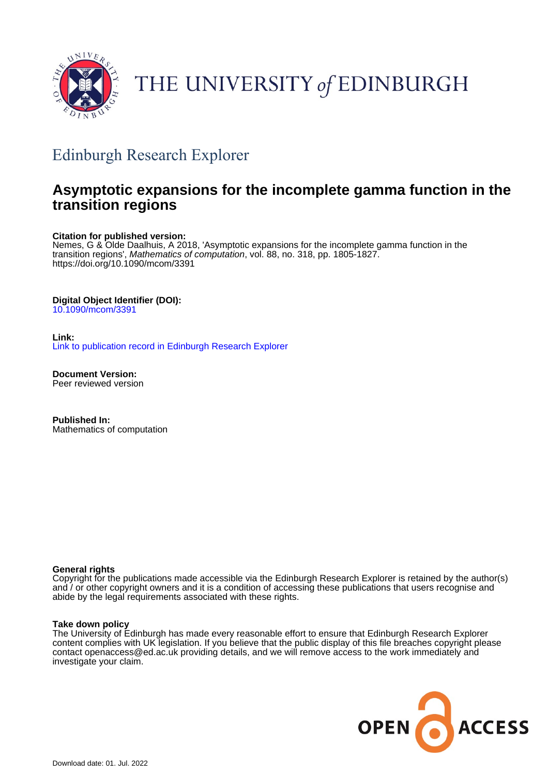

# THE UNIVERSITY of EDINBURGH

# Edinburgh Research Explorer

# **Asymptotic expansions for the incomplete gamma function in the transition regions**

# **Citation for published version:**

Nemes, G & Olde Daalhuis, A 2018, 'Asymptotic expansions for the incomplete gamma function in the transition regions', Mathematics of computation, vol. 88, no. 318, pp. 1805-1827. <https://doi.org/10.1090/mcom/3391>

# **Digital Object Identifier (DOI):**

[10.1090/mcom/3391](https://doi.org/10.1090/mcom/3391)

## **Link:** [Link to publication record in Edinburgh Research Explorer](https://www.research.ed.ac.uk/en/publications/5b8c010e-20db-4bfd-99a3-d37f8ba3bc7e)

**Document Version:** Peer reviewed version

**Published In:** Mathematics of computation

## **General rights**

Copyright for the publications made accessible via the Edinburgh Research Explorer is retained by the author(s) and / or other copyright owners and it is a condition of accessing these publications that users recognise and abide by the legal requirements associated with these rights.

## **Take down policy**

The University of Edinburgh has made every reasonable effort to ensure that Edinburgh Research Explorer content complies with UK legislation. If you believe that the public display of this file breaches copyright please contact openaccess@ed.ac.uk providing details, and we will remove access to the work immediately and investigate your claim.

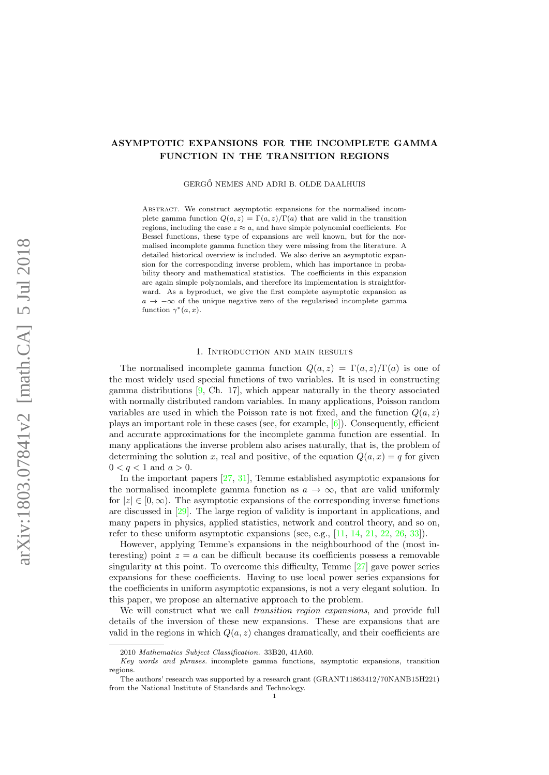# ASYMPTOTIC EXPANSIONS FOR THE INCOMPLETE GAMMA FUNCTION IN THE TRANSITION REGIONS

GERGŐ NEMES AND ADRI B. OLDE DAALHUIS

ABSTRACT. We construct asymptotic expansions for the normalised incomplete gamma function  $Q(a, z) = \Gamma(a, z)/\Gamma(a)$  that are valid in the transition regions, including the case  $z \approx a$ , and have simple polynomial coefficients. For Bessel functions, these type of expansions are well known, but for the normalised incomplete gamma function they were missing from the literature. A detailed historical overview is included. We also derive an asymptotic expansion for the corresponding inverse problem, which has importance in probability theory and mathematical statistics. The coefficients in this expansion are again simple polynomials, and therefore its implementation is straightforward. As a byproduct, we give the first complete asymptotic expansion as  $a \rightarrow -\infty$  of the unique negative zero of the regularised incomplete gamma function  $\gamma^*(a, x)$ .

#### 1. Introduction and main results

The normalised incomplete gamma function  $Q(a, z) = \Gamma(a, z)/\Gamma(a)$  is one of the most widely used special functions of two variables. It is used in constructing gamma distributions [\[9,](#page-20-0) Ch. 17], which appear naturally in the theory associated with normally distributed random variables. In many applications, Poisson random variables are used in which the Poisson rate is not fixed, and the function  $Q(a, z)$ plays an important role in these cases (see, for example, [\[6\]](#page-20-0)). Consequently, efficient and accurate approximations for the incomplete gamma function are essential. In many applications the inverse problem also arises naturally, that is, the problem of determining the solution x, real and positive, of the equation  $Q(a, x) = q$  for given  $0 < q < 1$  and  $a > 0$ .

In the important papers [\[27,](#page-21-0) [31\]](#page-21-0), Temme established asymptotic expansions for the normalised incomplete gamma function as  $a \to \infty$ , that are valid uniformly for  $|z| \in [0, \infty)$ . The asymptotic expansions of the corresponding inverse functions are discussed in [\[29\]](#page-21-0). The large region of validity is important in applications, and many papers in physics, applied statistics, network and control theory, and so on, refer to these uniform asymptotic expansions (see, e.g., [\[11,](#page-20-0) [14,](#page-20-0) [21,](#page-20-0) [22,](#page-20-0) [26,](#page-20-0) [33\]](#page-21-0)).

However, applying Temme's expansions in the neighbourhood of the (most interesting) point  $z = a$  can be difficult because its coefficients possess a removable singularity at this point. To overcome this difficulty, Temme [\[27\]](#page-21-0) gave power series expansions for these coefficients. Having to use local power series expansions for the coefficients in uniform asymptotic expansions, is not a very elegant solution. In this paper, we propose an alternative approach to the problem.

We will construct what we call *transition region expansions*, and provide full details of the inversion of these new expansions. These are expansions that are valid in the regions in which  $Q(a, z)$  changes dramatically, and their coefficients are

<sup>2010</sup> Mathematics Subject Classification. 33B20, 41A60.

Key words and phrases. incomplete gamma functions, asymptotic expansions, transition regions.

The authors' research was supported by a research grant (GRANT11863412/70NANB15H221) from the National Institute of Standards and Technology.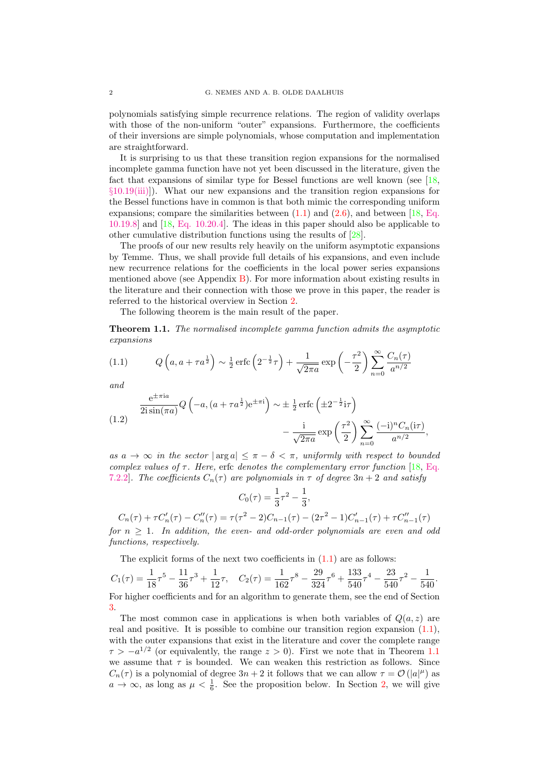<span id="page-2-0"></span>polynomials satisfying simple recurrence relations. The region of validity overlaps with those of the non-uniform "outer" expansions. Furthermore, the coefficients of their inversions are simple polynomials, whose computation and implementation are straightforward.

It is surprising to us that these transition region expansions for the normalised incomplete gamma function have not yet been discussed in the literature, given the fact that expansions of similar type for Bessel functions are well known (see [\[18,](#page-20-0) §[10.19\(iii\)\]](http://dlmf.nist.gov/10.19.iii)). What our new expansions and the transition region expansions for the Bessel functions have in common is that both mimic the corresponding uniform expansions; compare the similarities between  $(1.1)$  and  $(2.6)$ , and between [\[18,](#page-20-0) [Eq.](http://dlmf.nist.gov/10.19.E8) [10.19.8\]](http://dlmf.nist.gov/10.19.E8) and [\[18,](#page-20-0) [Eq. 10.20.4\]](http://dlmf.nist.gov/10.20.E4). The ideas in this paper should also be applicable to other cumulative distribution functions using the results of [\[28\]](#page-21-0).

The proofs of our new results rely heavily on the uniform asymptotic expansions by Temme. Thus, we shall provide full details of his expansions, and even include new recurrence relations for the coefficients in the local power series expansions mentioned above (see Appendix  $\overline{B}$ ). For more information about existing results in the literature and their connection with those we prove in this paper, the reader is referred to the historical overview in Section [2.](#page-5-0)

The following theorem is the main result of the paper.

Theorem 1.1. The normalised incomplete gamma function admits the asymptotic expansions

(1.1) 
$$
Q\left(a, a+\tau a^{\frac{1}{2}}\right) \sim \frac{1}{2} \operatorname{erfc}\left(2^{-\frac{1}{2}}\tau\right) + \frac{1}{\sqrt{2\pi a}} \exp\left(-\frac{\tau^2}{2}\right) \sum_{n=0}^{\infty} \frac{C_n(\tau)}{a^{n/2}}
$$

and

(1.2) 
$$
\frac{e^{\pm \pi i a}}{2i \sin(\pi a)} Q\left(-a, (a + \tau a^{\frac{1}{2}})e^{\pm \pi i}\right) \sim \pm \frac{1}{2} \operatorname{erfc}\left(\pm 2^{-\frac{1}{2}}i\tau\right) \n- \frac{i}{\sqrt{2\pi a}} \exp\left(\frac{\tau^2}{2}\right) \sum_{n=0}^{\infty} \frac{(-i)^n C_n(i\tau)}{a^{n/2}},
$$

as  $a \to \infty$  in the sector  $|\arg a| \leq \pi - \delta < \pi$ , uniformly with respect to bounded complex values of  $\tau$ . Here, erfc denotes the complementary error function [\[18,](#page-20-0) [Eq.](http://dlmf.nist.gov/7.2.E2) [7.2.2\]](http://dlmf.nist.gov/7.2.E2). The coefficients  $C_n(\tau)$  are polynomials in  $\tau$  of degree  $3n + 2$  and satisfy

$$
C_0(\tau) = \frac{1}{3}\tau^2 - \frac{1}{3},
$$

$$
C_n(\tau) + \tau C'_n(\tau) - C''_n(\tau) = \tau(\tau^2 - 2)C_{n-1}(\tau) - (2\tau^2 - 1)C'_{n-1}(\tau) + \tau C''_{n-1}(\tau)
$$

for  $n \geq 1$ . In addition, the even- and odd-order polynomials are even and odd functions, respectively.

The explicit forms of the next two coefficients in  $(1.1)$  are as follows:

$$
C_1(\tau) = \frac{1}{18}\tau^5 - \frac{11}{36}\tau^3 + \frac{1}{12}\tau, \quad C_2(\tau) = \frac{1}{162}\tau^8 - \frac{29}{324}\tau^6 + \frac{133}{540}\tau^4 - \frac{23}{540}\tau^2 - \frac{1}{540}.
$$

For higher coefficients and for an algorithm to generate them, see the end of Section [3.](#page-8-0)

The most common case in applications is when both variables of  $Q(a, z)$  are real and positive. It is possible to combine our transition region expansion (1.1), with the outer expansions that exist in the literature and cover the complete range  $\tau > -a^{1/2}$  (or equivalently, the range  $z > 0$ ). First we note that in Theorem 1.1 we assume that  $\tau$  is bounded. We can weaken this restriction as follows. Since  $C_n(\tau)$  is a polynomial of degree  $3n+2$  it follows that we can allow  $\tau = \mathcal{O}(|a|^{\mu})$  as  $a \to \infty$ , as long as  $\mu < \frac{1}{6}$ . See the proposition below. In Section [2,](#page-5-0) we will give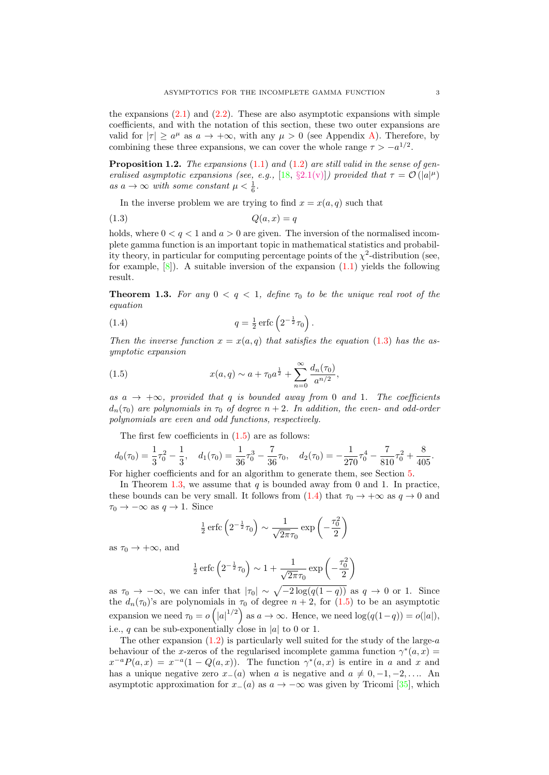<span id="page-3-0"></span>the expansions  $(2.1)$  and  $(2.2)$ . These are also asymptotic expansions with simple coefficients, and with the notation of this section, these two outer expansions are valid for  $|\tau| \ge a^{\mu}$  as  $a \to +\infty$ , with any  $\mu > 0$  (see Appendix [A\)](#page-17-0). Therefore, by combining these three expansions, we can cover the whole range  $\tau > -a^{1/2}$ .

**Proposition 1.2.** The expansions  $(1.1)$  and  $(1.2)$  are still valid in the sense of gen-eralised asymptotic expansions (see, e.g., [\[18,](#page-20-0) §[2.1\(v\)\]](http://dlmf.nist.gov/2.1.v)) provided that  $\tau = \mathcal{O}(|a|^{\mu})$ as  $a \to \infty$  with some constant  $\mu < \frac{1}{6}$ .

In the inverse problem we are trying to find  $x = x(a, q)$  such that

$$
(1.3) \tQ(a, x) = q
$$

holds, where  $0 < q < 1$  and  $a > 0$  are given. The inversion of the normalised incomplete gamma function is an important topic in mathematical statistics and probability theory, in particular for computing percentage points of the  $\chi^2$ -distribution (see, for example,  $[8]$ . A suitable inversion of the expansion  $(1.1)$  yields the following result.

**Theorem 1.3.** For any  $0 < q < 1$ , define  $\tau_0$  to be the unique real root of the equation

(1.4) 
$$
q = \frac{1}{2} \operatorname{erfc} \left( 2^{-\frac{1}{2}} \tau_0 \right).
$$

Then the inverse function  $x = x(a,q)$  that satisfies the equation (1.3) has the asymptotic expansion

(1.5) 
$$
x(a,q) \sim a + \tau_0 a^{\frac{1}{2}} + \sum_{n=0}^{\infty} \frac{d_n(\tau_0)}{a^{n/2}},
$$

as  $a \rightarrow +\infty$ , provided that q is bounded away from 0 and 1. The coefficients  $d_n(\tau_0)$  are polynomials in  $\tau_0$  of degree  $n+2$ . In addition, the even- and odd-order polynomials are even and odd functions, respectively.

The first few coefficients in  $(1.5)$  are as follows:

$$
d_0(\tau_0) = \frac{1}{3}\tau_0^2 - \frac{1}{3}, \quad d_1(\tau_0) = \frac{1}{36}\tau_0^3 - \frac{7}{36}\tau_0, \quad d_2(\tau_0) = -\frac{1}{270}\tau_0^4 - \frac{7}{810}\tau_0^2 + \frac{8}{405}.
$$

For higher coefficients and for an algorithm to generate them, see Section [5.](#page-12-0)

In Theorem 1.3, we assume that  $q$  is bounded away from 0 and 1. In practice, these bounds can be very small. It follows from  $(1.4)$  that  $\tau_0 \to +\infty$  as  $q \to 0$  and  $\tau_0 \rightarrow -\infty$  as  $q \rightarrow 1$ . Since

$$
\frac{1}{2}\operatorname{erfc}\left(2^{-\frac{1}{2}}\tau_0\right) \sim \frac{1}{\sqrt{2\pi}\tau_0} \exp\left(-\frac{\tau_0^2}{2}\right)
$$

as  $\tau_0 \rightarrow +\infty$ , and

$$
\frac{1}{2}
$$
erfc  $\left(2^{-\frac{1}{2}}\tau_0\right) \sim 1 + \frac{1}{\sqrt{2\pi}\tau_0} \exp\left(-\frac{\tau_0^2}{2}\right)$ 

as  $\tau_0 \to -\infty$ , we can infer that  $|\tau_0| \sim \sqrt{-2 \log(q(1-q))}$  as  $q \to 0$  or 1. Since the  $d_n(\tau_0)$ 's are polynomials in  $\tau_0$  of degree  $n+2$ , for  $(1.5)$  to be an asymptotic expansion we need  $\tau_0 = o\left(|a|^{1/2}\right)$  as  $a \to \infty$ . Hence, we need  $\log(q(1-q)) = o(|a|)$ , i.e., q can be sub-exponentially close in |a| to 0 or 1.

The other expansion  $(1.2)$  is particularly well suited for the study of the large-a behaviour of the x-zeros of the regularised incomplete gamma function  $\gamma^*(a, x) =$  $x^{-a}P(a,x) = x^{-a}(1 - Q(a,x)).$  The function  $\gamma^*(a,x)$  is entire in a and x and has a unique negative zero  $x_{-}(a)$  when a is negative and  $a \neq 0, -1, -2, \ldots$ . An asymptotic approximation for  $x_{-}(a)$  as  $a \rightarrow -\infty$  was given by Tricomi [\[35\]](#page-21-0), which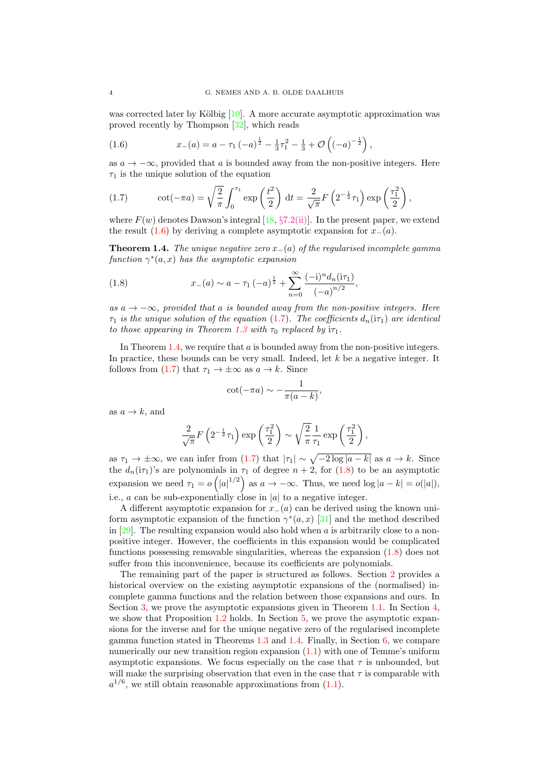<span id="page-4-0"></span>was corrected later by Kölbig  $[10]$ . A more accurate asymptotic approximation was proved recently by Thompson [\[32\]](#page-21-0), which reads

(1.6) 
$$
x_{-}(a) = a - \tau_1 \left(-a\right)^{\frac{1}{2}} - \frac{1}{3}\tau_1^2 - \frac{1}{3} + \mathcal{O}\left(\left(-a\right)^{-\frac{1}{2}}\right),
$$

as  $a \to -\infty$ , provided that a is bounded away from the non-positive integers. Here  $\tau_1$  is the unique solution of the equation

(1.7) 
$$
\cot(-\pi a) = \sqrt{\frac{2}{\pi}} \int_0^{\tau_1} \exp\left(\frac{t^2}{2}\right) dt = \frac{2}{\sqrt{\pi}} F\left(2^{-\frac{1}{2}} \tau_1\right) \exp\left(\frac{\tau_1^2}{2}\right),
$$

where  $F(w)$  denotes Dawson's integral [\[18,](#page-20-0) §[7.2\(ii\)\]](http://dlmf.nist.gov/7.2.ii). In the present paper, we extend the result  $(1.6)$  by deriving a complete asymptotic expansion for  $x_-(a)$ .

**Theorem 1.4.** The unique negative zero  $x_-(a)$  of the regularised incomplete gamma function  $\gamma^*(a, x)$  has the asymptotic expansion

(1.8) 
$$
x_{-}(a) \sim a - \tau_{1}(-a)^{\frac{1}{2}} + \sum_{n=0}^{\infty} \frac{(-i)^{n} d_{n}(i\tau_{1})}{(-a)^{n/2}},
$$

as  $a \rightarrow -\infty$ , provided that a is bounded away from the non-positive integers. Here  $\tau_1$  is the unique solution of the equation (1.7). The coefficients  $d_n(i\tau_1)$  are identical to those appearing in Theorem [1.3](#page-3-0) with  $\tau_0$  replaced by  $i\tau_1$ .

In Theorem 1.4, we require that a is bounded away from the non-positive integers. In practice, these bounds can be very small. Indeed, let  $k$  be a negative integer. It follows from (1.7) that  $\tau_1 \to \pm \infty$  as  $a \to k$ . Since

$$
\cot(-\pi a) \sim -\frac{1}{\pi(a-k)},
$$

as  $a \rightarrow k$ , and

$$
\frac{2}{\sqrt{\pi}}F\left(2^{-\frac{1}{2}}\tau_1\right)\exp\left(\frac{\tau_1^2}{2}\right) \sim \sqrt{\frac{2}{\pi}}\frac{1}{\tau_1}\exp\left(\frac{\tau_1^2}{2}\right),\,
$$

as  $\tau_1 \to \pm \infty$ , we can infer from  $(1.7)$  that  $|\tau_1| \sim \sqrt{-2 \log |a-k|}$  as  $a \to k$ . Since the  $d_n(\mathbf{i}\tau_1)$ 's are polynomials in  $\tau_1$  of degree  $n+2$ , for  $(1.8)$  to be an asymptotic expansion we need  $\tau_1 = o\left(|a|^{1/2}\right)$  as  $a \to -\infty$ . Thus, we need  $\log|a-k| = o(|a|)$ , i.e.,  $a$  can be sub-exponentially close in  $|a|$  to a negative integer.

A different asymptotic expansion for  $x<sub>−</sub>(a)$  can be derived using the known uniform asymptotic expansion of the function  $\gamma^*(a, x)$  [\[31\]](#page-21-0) and the method described in  $[29]$ . The resulting expansion would also hold when a is arbitrarily close to a nonpositive integer. However, the coefficients in this expansion would be complicated functions possessing removable singularities, whereas the expansion (1.8) does not suffer from this inconvenience, because its coefficients are polynomials.

The remaining part of the paper is structured as follows. Section [2](#page-5-0) provides a historical overview on the existing asymptotic expansions of the (normalised) incomplete gamma functions and the relation between those expansions and ours. In Section [3,](#page-8-0) we prove the asymptotic expansions given in Theorem [1.1.](#page-2-0) In Section [4,](#page-12-0) we show that Proposition [1.2](#page-3-0) holds. In Section [5,](#page-12-0) we prove the asymptotic expansions for the inverse and for the unique negative zero of the regularised incomplete gamma function stated in Theorems [1.3](#page-3-0) and 1.4. Finally, in Section [6,](#page-15-0) we compare numerically our new transition region expansion [\(1.1\)](#page-2-0) with one of Temme's uniform asymptotic expansions. We focus especially on the case that  $\tau$  is unbounded, but will make the surprising observation that even in the case that  $\tau$  is comparable with  $a^{1/6}$ , we still obtain reasonable approximations from  $(1.1)$ .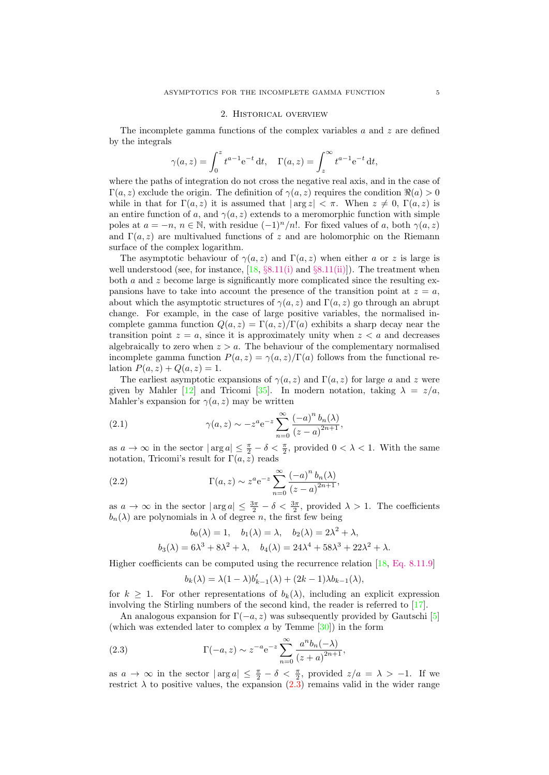#### 2. Historical overview

<span id="page-5-0"></span>The incomplete gamma functions of the complex variables  $a$  and  $z$  are defined by the integrals

$$
\gamma(a, z) = \int_0^z t^{a-1} e^{-t} dt
$$
,  $\Gamma(a, z) = \int_z^{\infty} t^{a-1} e^{-t} dt$ ,

where the paths of integration do not cross the negative real axis, and in the case of  $\Gamma(a, z)$  exclude the origin. The definition of  $\gamma(a, z)$  requires the condition  $\Re(a) > 0$ while in that for  $\Gamma(a, z)$  it is assumed that  $|\arg z| < \pi$ . When  $z \neq 0$ ,  $\Gamma(a, z)$  is an entire function of a, and  $\gamma(a, z)$  extends to a meromorphic function with simple poles at  $a = -n$ ,  $n \in \mathbb{N}$ , with residue  $(-1)^n/n!$ . For fixed values of a, both  $\gamma(a, z)$ and  $\Gamma(a, z)$  are multivalued functions of z and are holomorphic on the Riemann surface of the complex logarithm.

The asymptotic behaviour of  $\gamma(a, z)$  and  $\Gamma(a, z)$  when either a or z is large is well understood (see, for instance,  $[18, §8.11(i)$  $[18, §8.11(i)$  and  $§8.11(ii)]$  $§8.11(ii)]$ ). The treatment when both a and z become large is significantly more complicated since the resulting expansions have to take into account the presence of the transition point at  $z = a$ , about which the asymptotic structures of  $\gamma(a, z)$  and  $\Gamma(a, z)$  go through an abrupt change. For example, in the case of large positive variables, the normalised incomplete gamma function  $Q(a, z) = \Gamma(a, z)/\Gamma(a)$  exhibits a sharp decay near the transition point  $z = a$ , since it is approximately unity when  $z < a$  and decreases algebraically to zero when  $z > a$ . The behaviour of the complementary normalised incomplete gamma function  $P(a, z) = \gamma(a, z)/\Gamma(a)$  follows from the functional relation  $P(a, z) + Q(a, z) = 1$ .

The earliest asymptotic expansions of  $\gamma(a, z)$  and  $\Gamma(a, z)$  for large a and z were given by Mahler [\[12\]](#page-20-0) and Tricomi [\[35\]](#page-21-0). In modern notation, taking  $\lambda = z/a$ , Mahler's expansion for  $\gamma(a, z)$  may be written

(2.1) 
$$
\gamma(a, z) \sim -z^{a} e^{-z} \sum_{n=0}^{\infty} \frac{(-a)^{n} b_{n}(\lambda)}{(z-a)^{2n+1}},
$$

as  $a \to \infty$  in the sector  $|\arg a| \leq \frac{\pi}{2} - \delta < \frac{\pi}{2}$ , provided  $0 < \lambda < 1$ . With the same notation, Tricomi's result for  $\Gamma(a, z)$  reads

(2.2) 
$$
\Gamma(a, z) \sim z^{a} e^{-z} \sum_{n=0}^{\infty} \frac{(-a)^{n} b_{n}(\lambda)}{(z - a)^{2n+1}},
$$

as  $a \to \infty$  in the sector  $|\arg a| \leq \frac{3\pi}{2} - \delta < \frac{3\pi}{2}$ , provided  $\lambda > 1$ . The coefficients  $b_n(\lambda)$  are polynomials in  $\lambda$  of degree n, the first few being

$$
b_0(\lambda) = 1, \quad b_1(\lambda) = \lambda, \quad b_2(\lambda) = 2\lambda^2 + \lambda,
$$
  

$$
b_3(\lambda) = 6\lambda^3 + 8\lambda^2 + \lambda, \quad b_4(\lambda) = 24\lambda^4 + 58\lambda^3 + 22\lambda^2 + \lambda.
$$

Higher coefficients can be computed using the recurrence relation [\[18,](#page-20-0) [Eq. 8.11.9\]](http://dlmf.nist.gov/8.11.9)

$$
b_k(\lambda) = \lambda (1 - \lambda) b'_{k-1}(\lambda) + (2k - 1)\lambda b_{k-1}(\lambda),
$$

for  $k \geq 1$ . For other representations of  $b_k(\lambda)$ , including an explicit expression involving the Stirling numbers of the second kind, the reader is referred to [\[17\]](#page-20-0).

An analogous expansion for  $\Gamma(-a, z)$  was subsequently provided by Gautschi [\[5\]](#page-20-0) (which was extended later to complex a by Temme  $[30]$ ) in the form

(2.3) 
$$
\Gamma(-a, z) \sim z^{-a} e^{-z} \sum_{n=0}^{\infty} \frac{a^n b_n(-\lambda)}{(z+a)^{2n+1}},
$$

as  $a \to \infty$  in the sector  $|\arg a| \leq \frac{\pi}{2} - \delta < \frac{\pi}{2}$ , provided  $z/a = \lambda > -1$ . If we restrict  $\lambda$  to positive values, the expansion  $(2.\overline{3})$  remains valid in the wider range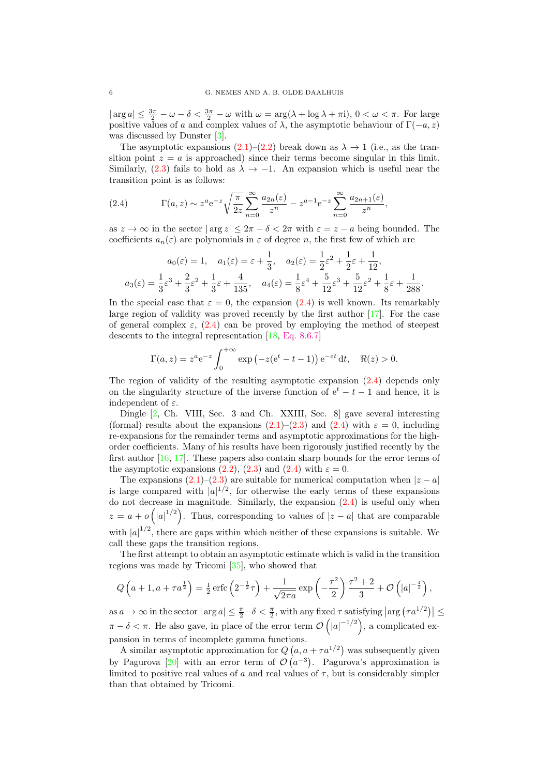$|\arg a| \leq \frac{3\pi}{2} - \omega - \delta < \frac{3\pi}{2} - \omega$  with  $\omega = \arg(\lambda + \log \lambda + \pi i)$ ,  $0 < \omega < \pi$ . For large positive values of a and complex values of  $\lambda$ , the asymptotic behaviour of  $\Gamma(-a, z)$ was discussed by Dunster [\[3\]](#page-20-0).

The asymptotic expansions [\(2.1\)](#page-5-0)–[\(2.2\)](#page-5-0) break down as  $\lambda \to 1$  (i.e., as the transition point  $z = a$  is approached) since their terms become singular in this limit. Similarly, [\(2.3\)](#page-5-0) fails to hold as  $\lambda \to -1$ . An expansion which is useful near the transition point is as follows:

(2.4) 
$$
\Gamma(a,z) \sim z^a e^{-z} \sqrt{\frac{\pi}{2z}} \sum_{n=0}^{\infty} \frac{a_{2n}(\varepsilon)}{z^n} - z^{a-1} e^{-z} \sum_{n=0}^{\infty} \frac{a_{2n+1}(\varepsilon)}{z^n},
$$

as  $z \to \infty$  in the sector  $|\arg z| \leq 2\pi - \delta < 2\pi$  with  $\varepsilon = z - a$  being bounded. The coefficients  $a_n(\varepsilon)$  are polynomials in  $\varepsilon$  of degree n, the first few of which are

$$
a_0(\varepsilon) = 1, \quad a_1(\varepsilon) = \varepsilon + \frac{1}{3}, \quad a_2(\varepsilon) = \frac{1}{2}\varepsilon^2 + \frac{1}{2}\varepsilon + \frac{1}{12},
$$
  

$$
a_3(\varepsilon) = \frac{1}{3}\varepsilon^3 + \frac{2}{3}\varepsilon^2 + \frac{1}{3}\varepsilon + \frac{4}{135}, \quad a_4(\varepsilon) = \frac{1}{8}\varepsilon^4 + \frac{5}{12}\varepsilon^3 + \frac{5}{12}\varepsilon^2 + \frac{1}{8}\varepsilon + \frac{1}{288}.
$$

In the special case that  $\varepsilon = 0$ , the expansion (2.4) is well known. Its remarkably large region of validity was proved recently by the first author  $\left[17\right]$ . For the case of general complex  $\varepsilon$ , (2.4) can be proved by employing the method of steepest descents to the integral representation [\[18,](#page-20-0) [Eq. 8.6.7\]](http://dlmf.nist.gov/8.6.7)

$$
\Gamma(a, z) = z^a e^{-z} \int_0^{+\infty} \exp\left(-z(e^t - t - 1)\right) e^{-\varepsilon t} dt, \quad \Re(z) > 0.
$$

The region of validity of the resulting asymptotic expansion (2.4) depends only on the singularity structure of the inverse function of  $e^t - t - 1$  and hence, it is independent of  $\varepsilon$ .

Dingle [\[2,](#page-20-0) Ch. VIII, Sec. 3 and Ch. XXIII, Sec. 8] gave several interesting (formal) results about the expansions  $(2.1)$ – $(2.3)$  and  $(2.4)$  with  $\varepsilon = 0$ , including re-expansions for the remainder terms and asymptotic approximations for the highorder coefficients. Many of his results have been rigorously justified recently by the first author [\[16,](#page-20-0) [17\]](#page-20-0). These papers also contain sharp bounds for the error terms of the asymptotic expansions [\(2.2\)](#page-5-0), [\(2.3\)](#page-5-0) and (2.4) with  $\varepsilon = 0$ .

The expansions  $(2.1)$ – $(2.3)$  are suitable for numerical computation when  $|z - a|$ is large compared with  $|a|^{1/2}$ , for otherwise the early terms of these expansions do not decrease in magnitude. Similarly, the expansion (2.4) is useful only when  $z = a + o(|a|^{1/2})$ . Thus, corresponding to values of  $|z - a|$  that are comparable with  $|a|^{1/2}$ , there are gaps within which neither of these expansions is suitable. We call these gaps the transition regions.

The first attempt to obtain an asymptotic estimate which is valid in the transition regions was made by Tricomi [\[35\]](#page-21-0), who showed that

$$
Q\left(a+1,a+\tau a^{\frac{1}{2}}\right)=\frac{1}{2}\operatorname{erfc}\left(2^{-\frac{1}{2}}\tau\right)+\frac{1}{\sqrt{2\pi a}}\exp\left(-\frac{\tau^2}{2}\right)\frac{\tau^2+2}{3}+\mathcal{O}\left(|a|^{-\frac{1}{2}}\right),
$$

as  $a \to \infty$  in the sector  $|\arg a| \leq \frac{\pi}{2} - \delta < \frac{\pi}{2}$ , with any fixed  $\tau$  satisfying  $\left|\arg(\tau a^{1/2})\right| \leq$  $\pi - \delta < \pi$ . He also gave, in place of the error term  $\mathcal{O}\left(|a|^{-1/2}\right)$ , a complicated expansion in terms of incomplete gamma functions.

A similar asymptotic approximation for  $Q(a, a + \tau a^{1/2})$  was subsequently given by Pagurova [\[20\]](#page-20-0) with an error term of  $\mathcal{O}(a^{-3})$ . Pagurova's approximation is limited to positive real values of a and real values of  $\tau$ , but is considerably simpler than that obtained by Tricomi.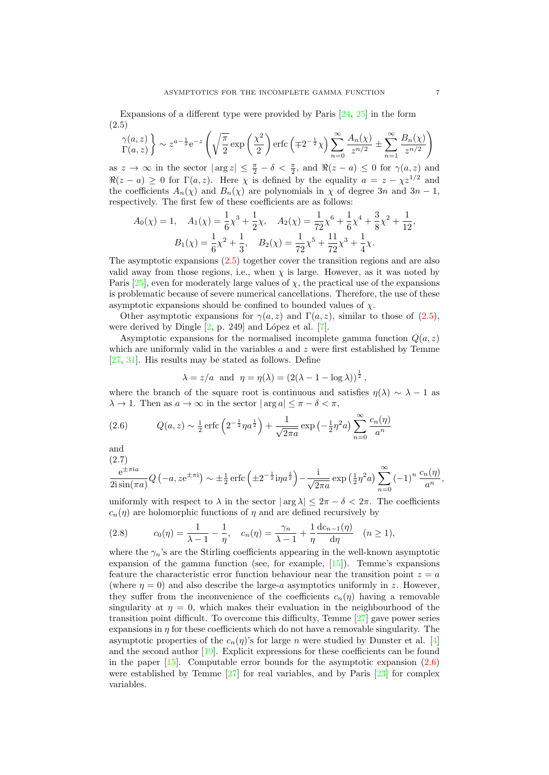<span id="page-7-0"></span>Expansions of a different type were provided by Paris [\[24,](#page-20-0) [25\]](#page-20-0) in the form (2.5)

$$
\gamma(a,z) \\ \Gamma(a,z) \} \sim z^{a-\frac{1}{2}} e^{-z} \left( \sqrt{\frac{\pi}{2}} \exp\left(\frac{\chi^2}{2}\right) \operatorname{erfc}\left(\mp 2^{-\frac{1}{2}} \chi\right) \sum_{n=0}^{\infty} \frac{A_n(\chi)}{z^{n/2}} \pm \sum_{n=1}^{\infty} \frac{B_n(\chi)}{z^{n/2}} \right)
$$

as  $z \to \infty$  in the sector  $|\arg z| \leq \frac{\pi}{2} - \delta < \frac{\pi}{2}$ , and  $\Re(z - a) \leq 0$  for  $\gamma(a, z)$  and  $\Re(z - a) \geq 0$  for  $\Gamma(a, z)$ . Here  $\chi$  is defined by the equality  $a = z - \chi z^{1/2}$  and the coefficients  $A_n(\chi)$  and  $B_n(\chi)$  are polynomials in  $\chi$  of degree 3n and 3n – 1, respectively. The first few of these coefficients are as follows:

$$
A_0(\chi) = 1, \quad A_1(\chi) = \frac{1}{6}\chi^3 + \frac{1}{2}\chi, \quad A_2(\chi) = \frac{1}{72}\chi^6 + \frac{1}{6}\chi^4 + \frac{3}{8}\chi^2 + \frac{1}{12},
$$

$$
B_1(\chi) = \frac{1}{6}\chi^2 + \frac{1}{3}, \quad B_2(\chi) = \frac{1}{72}\chi^5 + \frac{11}{72}\chi^3 + \frac{1}{4}\chi.
$$

The asymptotic expansions (2.5) together cover the transition regions and are also valid away from those regions, i.e., when  $\chi$  is large. However, as it was noted by Paris  $[25]$ , even for moderately large values of  $\chi$ , the practical use of the expansions is problematic because of severe numerical cancellations. Therefore, the use of these asymptotic expansions should be confined to bounded values of  $\chi$ .

Other asymptotic expansions for  $\gamma(a, z)$  and  $\Gamma(a, z)$ , similar to those of (2.5), were derived by Dingle  $[2, p. 249]$  and López et al.  $[7]$ .

Asymptotic expansions for the normalised incomplete gamma function  $Q(a, z)$ which are uniformly valid in the variables  $a$  and  $z$  were first established by Temme [\[27,](#page-21-0) [31\]](#page-21-0). His results may be stated as follows. Define

$$
\lambda = z/a
$$
 and  $\eta = \eta(\lambda) = (2(\lambda - 1 - \log \lambda))^{\frac{1}{2}}$ ,

where the branch of the square root is continuous and satisfies  $\eta(\lambda) \sim \lambda - 1$  as  $\lambda \to 1$ . Then as  $a \to \infty$  in the sector  $|\arg a| \leq \pi - \delta < \pi$ ,

(2.6) 
$$
Q(a, z) \sim \frac{1}{2} \operatorname{erfc} \left( 2^{-\frac{1}{2}} \eta a^{\frac{1}{2}} \right) + \frac{1}{\sqrt{2\pi a}} \exp \left( -\frac{1}{2} \eta^2 a \right) \sum_{n=0}^{\infty} \frac{c_n(\eta)}{a^n}
$$

and

$$
\frac{e^{\pm \pi i a}}{2i \sin(\pi a)} Q\left(-a, z e^{\pm \pi i}\right) \sim \pm \frac{1}{2} \operatorname{erfc}\left(\pm 2^{-\frac{1}{2}} i \eta a^{\frac{1}{2}}\right) - \frac{i}{\sqrt{2\pi a}} \exp\left(\frac{1}{2} \eta^2 a\right) \sum_{n=0}^{\infty} (-1)^n \frac{c_n(\eta)}{a^n},
$$

uniformly with respect to  $\lambda$  in the sector  $|\arg \lambda| \leq 2\pi - \delta < 2\pi$ . The coefficients  $c_n(\eta)$  are holomorphic functions of  $\eta$  and are defined recursively by

(2.8) 
$$
c_0(\eta) = \frac{1}{\lambda - 1} - \frac{1}{\eta}, \quad c_n(\eta) = \frac{\gamma_n}{\lambda - 1} + \frac{1}{\eta} \frac{dc_{n-1}(\eta)}{d\eta} \quad (n \ge 1),
$$

where the  $\gamma_n$ 's are the Stirling coefficients appearing in the well-known asymptotic expansion of the gamma function (see, for example, [\[15\]](#page-20-0)). Temme's expansions feature the characteristic error function behaviour near the transition point  $z = a$ (where  $\eta = 0$ ) and also describe the large-a asymptotics uniformly in z. However, they suffer from the inconvenience of the coefficients  $c_n(\eta)$  having a removable singularity at  $\eta = 0$ , which makes their evaluation in the neighbourhood of the transition point difficult. To overcome this difficulty, Temme [\[27\]](#page-21-0) gave power series expansions in  $\eta$  for these coefficients which do not have a removable singularity. The asymptotic properties of the  $c_n(\eta)$ 's for large n were studied by Dunster et al. [\[4\]](#page-20-0) and the second author [\[19\]](#page-20-0). Explicit expressions for these coefficients can be found in the paper  $[15]$ . Computable error bounds for the asymptotic expansion  $(2.6)$ were established by Temme [\[27\]](#page-21-0) for real variables, and by Paris [\[23\]](#page-20-0) for complex variables.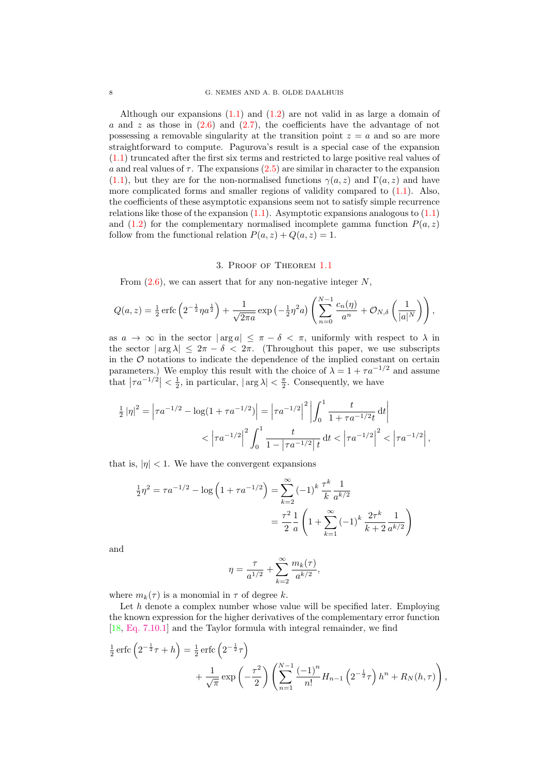<span id="page-8-0"></span>Although our expansions  $(1.1)$  and  $(1.2)$  are not valid in as large a domain of a and z as those in  $(2.6)$  and  $(2.7)$ , the coefficients have the advantage of not possessing a removable singularity at the transition point  $z = a$  and so are more straightforward to compute. Pagurova's result is a special case of the expansion [\(1.1\)](#page-2-0) truncated after the first six terms and restricted to large positive real values of a and real values of  $\tau$ . The expansions [\(2.5\)](#page-7-0) are similar in character to the expansion [\(1.1\)](#page-2-0), but they are for the non-normalised functions  $\gamma(a, z)$  and  $\Gamma(a, z)$  and have more complicated forms and smaller regions of validity compared to [\(1.1\)](#page-2-0). Also, the coefficients of these asymptotic expansions seem not to satisfy simple recurrence relations like those of the expansion  $(1.1)$ . Asymptotic expansions analogous to  $(1.1)$ and [\(1.2\)](#page-2-0) for the complementary normalised incomplete gamma function  $P(a, z)$ follow from the functional relation  $P(a, z) + Q(a, z) = 1$ .

#### 3. Proof of Theorem [1.1](#page-2-0)

From  $(2.6)$ , we can assert that for any non-negative integer N,

$$
Q(a,z) = \frac{1}{2} \operatorname{erfc} \left( 2^{-\frac{1}{2}} \eta a^{\frac{1}{2}} \right) + \frac{1}{\sqrt{2\pi a}} \exp \left( -\frac{1}{2} \eta^2 a \right) \left( \sum_{n=0}^{N-1} \frac{c_n(\eta)}{a^n} + \mathcal{O}_{N,\delta} \left( \frac{1}{|a|^N} \right) \right),
$$

as  $a \to \infty$  in the sector  $|\arg a| < \pi - \delta < \pi$ , uniformly with respect to  $\lambda$  in the sector  $|\arg \lambda| \leq 2\pi - \delta < 2\pi$ . (Throughout this paper, we use subscripts in the  $\mathcal O$  notations to indicate the dependence of the implied constant on certain parameters.) We employ this result with the choice of  $\lambda = 1 + \tau a^{-1/2}$  and assume that  $|\tau a^{-1/2}| < \frac{1}{2}$ , in particular,  $|\arg \lambda| < \frac{\pi}{2}$ . Consequently, we have

$$
\frac{1}{2} |\eta|^2 = \left| \tau a^{-1/2} - \log(1 + \tau a^{-1/2}) \right| = \left| \tau a^{-1/2} \right|^2 \left| \int_0^1 \frac{t}{1 + \tau a^{-1/2} t} dt \right|
$$
  
< 
$$
< \left| \tau a^{-1/2} \right|^2 \int_0^1 \frac{t}{1 - \left| \tau a^{-1/2} \right| t} dt < \left| \tau a^{-1/2} \right|^2 < \left| \tau a^{-1/2} \right|,
$$

that is,  $|\eta|$  < 1. We have the convergent expansions

$$
\frac{1}{2}\eta^2 = \tau a^{-1/2} - \log\left(1 + \tau a^{-1/2}\right) = \sum_{k=2}^{\infty} (-1)^k \frac{\tau^k}{k} \frac{1}{a^{k/2}}
$$

$$
= \frac{\tau^2}{2} \frac{1}{a} \left(1 + \sum_{k=1}^{\infty} (-1)^k \frac{2\tau^k}{k+2} \frac{1}{a^{k/2}}\right)
$$

and

$$
\eta=\frac{\tau}{a^{1/2}}+\sum_{k=2}^{\infty}\frac{m_k(\tau)}{a^{k/2}},
$$

where  $m_k(\tau)$  is a monomial in  $\tau$  of degree k.

Let  $h$  denote a complex number whose value will be specified later. Employing the known expression for the higher derivatives of the complementary error function [\[18,](#page-20-0) [Eq. 7.10.1\]](http://dlmf.nist.gov/7.10.1) and the Taylor formula with integral remainder, we find

$$
\frac{1}{2} \operatorname{erfc} \left( 2^{-\frac{1}{2}} \tau + h \right) = \frac{1}{2} \operatorname{erfc} \left( 2^{-\frac{1}{2}} \tau \right) \n+ \frac{1}{\sqrt{\pi}} \exp \left( -\frac{\tau^2}{2} \right) \left( \sum_{n=1}^{N-1} \frac{(-1)^n}{n!} H_{n-1} \left( 2^{-\frac{1}{2}} \tau \right) h^n + R_N(h, \tau) \right),
$$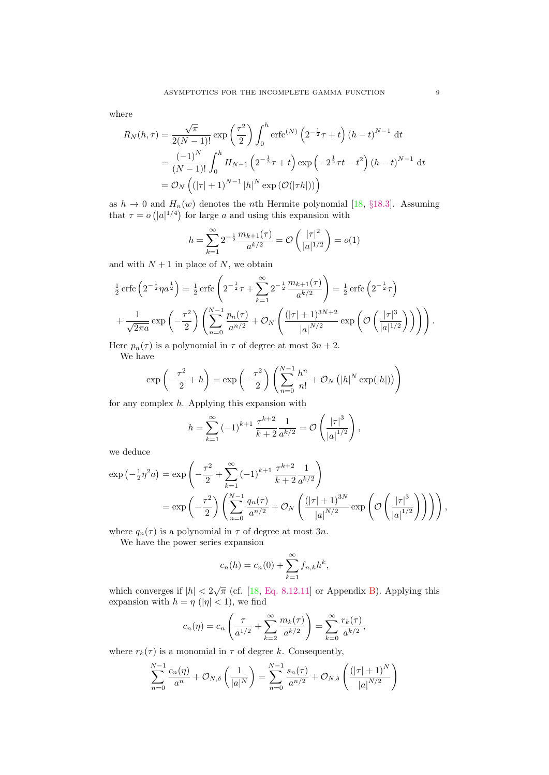where

$$
R_N(h,\tau) = \frac{\sqrt{\pi}}{2(N-1)!} \exp\left(\frac{\tau^2}{2}\right) \int_0^h \text{erfc}^{(N)} \left(2^{-\frac{1}{2}}\tau + t\right) (h-t)^{N-1} dt
$$
  
=  $\frac{(-1)^N}{(N-1)!} \int_0^h H_{N-1} \left(2^{-\frac{1}{2}}\tau + t\right) \exp\left(-2^{\frac{1}{2}}\tau t - t^2\right) (h-t)^{N-1} dt$   
=  $\mathcal{O}_N \left( (|\tau| + 1)^{N-1} |h|^N \exp\left(\mathcal{O}(|\tau h|)\right) \right)$ 

as  $h \to 0$  and  $H_n(w)$  denotes the *n*th Hermite polynomial [\[18,](#page-20-0) §[18.3\]](http://dlmf.nist.gov/18.3). Assuming that  $\tau = o\left(|a|^{1/4}\right)$  for large a and using this expansion with

$$
h = \sum_{k=1}^{\infty} 2^{-\frac{1}{2}} \frac{m_{k+1}(\tau)}{a^{k/2}} = \mathcal{O}\left(\frac{|\tau|^2}{|a|^{1/2}}\right) = o(1)
$$

and with  $N + 1$  in place of N, we obtain

$$
\frac{1}{2}\operatorname{erfc}\left(2^{-\frac{1}{2}}\eta a^{\frac{1}{2}}\right) = \frac{1}{2}\operatorname{erfc}\left(2^{-\frac{1}{2}}\tau + \sum_{k=1}^{\infty} 2^{-\frac{1}{2}}\frac{m_{k+1}(\tau)}{a^{k/2}}\right) = \frac{1}{2}\operatorname{erfc}\left(2^{-\frac{1}{2}}\tau\right)
$$
\n
$$
+\frac{1}{\sqrt{2\pi a}}\exp\left(-\frac{\tau^2}{2}\right)\left(\sum_{n=0}^{N-1}\frac{p_n(\tau)}{a^{n/2}} + \mathcal{O}_N\left(\frac{(|\tau|+1)^{3N+2}}{|a|^{N/2}}\exp\left(\mathcal{O}\left(\frac{|\tau|^3}{|a|^{1/2}}\right)\right)\right)\right).
$$

Here  $p_n(\tau)$  is a polynomial in  $\tau$  of degree at most  $3n + 2$ .

We have

$$
\exp\left(-\frac{\tau^2}{2} + h\right) = \exp\left(-\frac{\tau^2}{2}\right) \left(\sum_{n=0}^{N-1} \frac{h^n}{n!} + \mathcal{O}_N\left(|h|^N \exp(|h|)\right)\right)
$$

for any complex h. Applying this expansion with

$$
h = \sum_{k=1}^{\infty} (-1)^{k+1} \frac{\tau^{k+2}}{k+2} \frac{1}{a^{k/2}} = \mathcal{O}\left(\frac{|\tau|^3}{|a|^{1/2}}\right),\,
$$

we deduce

$$
\exp\left(-\frac{1}{2}\eta^2 a\right) = \exp\left(-\frac{\tau^2}{2} + \sum_{k=1}^{\infty} (-1)^{k+1} \frac{\tau^{k+2}}{k+2} \frac{1}{a^{k/2}}\right)
$$
  
= 
$$
\exp\left(-\frac{\tau^2}{2}\right) \left(\sum_{n=0}^{N-1} \frac{q_n(\tau)}{a^{n/2}} + \mathcal{O}_N\left(\frac{(|\tau|+1)^{3N}}{|a|^{N/2}} \exp\left(\mathcal{O}\left(\frac{|\tau|^3}{|a|^{1/2}}\right)\right)\right)\right),
$$

where  $q_n(\tau)$  is a polynomial in  $\tau$  of degree at most 3n.

We have the power series expansion

$$
c_n(h) = c_n(0) + \sum_{k=1}^{\infty} f_{n,k} h^k,
$$

which converges if  $|h| < 2\sqrt{\pi}$  (cf. [\[18,](#page-20-0) [Eq. 8.12.11\]](http://dlmf.nist.gov/8.12.11) or Appendix [B\)](#page-18-0). Applying this expansion with  $h = \eta$  (| $\eta$ | < 1), we find

$$
c_n(\eta) = c_n \left( \frac{\tau}{a^{1/2}} + \sum_{k=2}^{\infty} \frac{m_k(\tau)}{a^{k/2}} \right) = \sum_{k=0}^{\infty} \frac{r_k(\tau)}{a^{k/2}},
$$

where  $r_k(\tau)$  is a monomial in  $\tau$  of degree k. Consequently,

$$
\sum_{n=0}^{N-1} \frac{c_n(\eta)}{a^n} + \mathcal{O}_{N,\delta}\left(\frac{1}{|a|^N}\right) = \sum_{n=0}^{N-1} \frac{s_n(\tau)}{a^{n/2}} + \mathcal{O}_{N,\delta}\left(\frac{(|\tau|+1)^N}{|a|^{N/2}}\right)
$$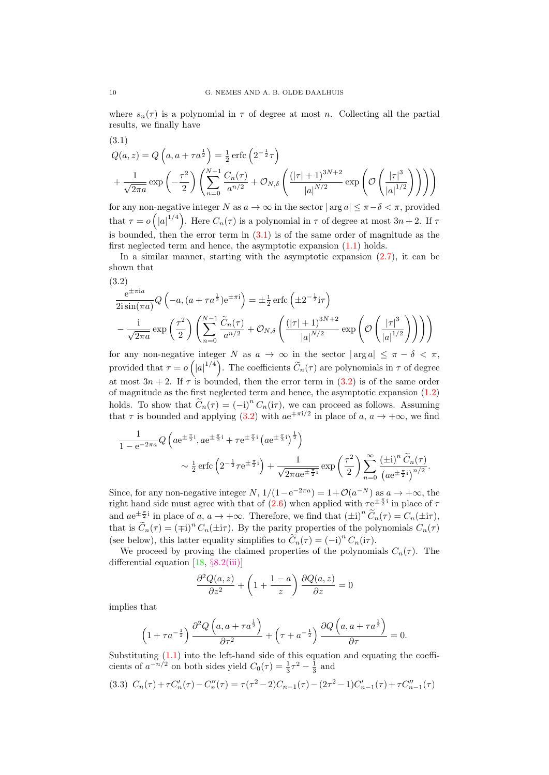<span id="page-10-0"></span>where  $s_n(\tau)$  is a polynomial in  $\tau$  of degree at most n. Collecting all the partial results, we finally have

(3.1)  
\n
$$
Q(a, z) = Q\left(a, a + \tau a^{\frac{1}{2}}\right) = \frac{1}{2} \operatorname{erfc}\left(2^{-\frac{1}{2}}\tau\right)
$$
\n
$$
+ \frac{1}{\sqrt{2\pi a}} \exp\left(-\frac{\tau^2}{2}\right) \left(\sum_{n=0}^{N-1} \frac{C_n(\tau)}{a^{n/2}} + \mathcal{O}_{N, \delta}\left(\frac{(|\tau| + 1)^{3N+2}}{|a|^{N/2}} \exp\left(\mathcal{O}\left(\frac{|\tau|^3}{|a|^{1/2}}\right)\right)\right)\right)
$$

for any non-negative integer N as  $a \to \infty$  in the sector  $|\arg a| \leq \pi - \delta < \pi$ , provided that  $\tau = o\left(|a|^{1/4}\right)$ . Here  $C_n(\tau)$  is a polynomial in  $\tau$  of degree at most  $3n + 2$ . If  $\tau$ is bounded, then the error term in  $(3.1)$  is of the same order of magnitude as the first neglected term and hence, the asymptotic expansion [\(1.1\)](#page-2-0) holds.

In a similar manner, starting with the asymptotic expansion  $(2.7)$ , it can be shown that

$$
(3.2)
$$
\n
$$
\frac{e^{\pm \pi i a}}{2i \sin(\pi a)} Q\left(-a, (a + \tau a^{\frac{1}{2}}) e^{\pm \pi i}\right) = \pm \frac{1}{2} \operatorname{erfc}\left(\pm 2^{-\frac{1}{2}} i\tau\right)
$$
\n
$$
-\frac{i}{\sqrt{2\pi a}} \exp\left(\frac{\tau^2}{2}\right) \left(\sum_{n=0}^{N-1} \frac{\widetilde{C}_n(\tau)}{a^{n/2}} + \mathcal{O}_{N,\delta}\left(\frac{(|\tau|+1)^{3N+2}}{|a|^{N/2}} \exp\left(\mathcal{O}\left(\frac{|\tau|^3}{|a|^{1/2}}\right)\right)\right)\right)
$$

for any non-negative integer N as  $a \to \infty$  in the sector  $|\arg a| \leq \pi - \delta < \pi$ , provided that  $\tau = o(|a|^{1/4})$ . The coefficients  $\widetilde{C}_n(\tau)$  are polynomials in  $\tau$  of degree at most  $3n + 2$ . If  $\tau$  is bounded, then the error term in (3.2) is of the same order of magnitude as the first neglected term and hence, the asymptotic expansion [\(1.2\)](#page-2-0) holds. To show that  $\widetilde{C}_n(\tau) = (-i)^n C_n(i\tau)$ , we can proceed as follows. Assuming that  $\tau$  is bounded and applying (3.2) with  $ae^{\mp \pi i/2}$  in place of  $a, a \to +\infty$ , we find

$$
\frac{1}{1 - e^{-2\pi a}} Q\left(a e^{\pm \frac{\pi}{2}i}, a e^{\pm \frac{\pi}{2}i} + \tau e^{\pm \frac{\pi}{2}i} \left(a e^{\pm \frac{\pi}{2}i}\right)^{\frac{1}{2}}\right) \sim \frac{1}{2} \operatorname{erfc}\left(2^{-\frac{1}{2}} \tau e^{\pm \frac{\pi}{2}i}\right) + \frac{1}{\sqrt{2\pi a e^{\pm \frac{\pi}{2}i}}} \exp\left(\frac{\tau^2}{2}\right) \sum_{n=0}^{\infty} \frac{\left(\pm i\right)^n \widetilde{C}_n(\tau)}{\left(a e^{\pm \frac{\pi}{2}i}\right)^{n/2}}.
$$

Since, for any non-negative integer  $N$ ,  $1/(1-e^{-2\pi a}) = 1+\mathcal{O}(a^{-N})$  as  $a \to +\infty$ , the right hand side must agree with that of  $(2.6)$  when applied with  $\tau e^{\pm \frac{\pi}{2}i}$  in place of  $\tau$ and  $ae^{\pm \frac{\pi}{2}i}$  in place of a,  $a \to +\infty$ . Therefore, we find that  $(\pm i)^n \widetilde{C}_n(\tau) = C_n(\pm i\tau)$ , that is  $\tilde{C}_n(\tau) = (\mp i)^n C_n(\pm i\tau)$ . By the parity properties of the polynomials  $C_n(\tau)$ (see below), this latter equality simplifies to  $\widetilde{C}_n(\tau) = (-i)^n C_n(i\tau)$ .

We proceed by proving the claimed properties of the polynomials  $C_n(\tau)$ . The differential equation  $[18, §8.2(iii)]$  $[18, §8.2(iii)]$ 

$$
\frac{\partial^2 Q(a, z)}{\partial z^2} + \left(1 + \frac{1 - a}{z}\right) \frac{\partial Q(a, z)}{\partial z} = 0
$$

implies that

$$
\left(1+\tau a^{-\frac{1}{2}}\right)\frac{\partial^2 Q\left(a,a+\tau a^{\frac{1}{2}}\right)}{\partial \tau^2}+\left(\tau+a^{-\frac{1}{2}}\right)\frac{\partial Q\left(a,a+\tau a^{\frac{1}{2}}\right)}{\partial \tau}=0.
$$

Substituting  $(1.1)$  into the left-hand side of this equation and equating the coefficients of  $a^{-n/2}$  on both sides yield  $C_0(\tau) = \frac{1}{3}\tau^2 - \frac{1}{3}$  and

$$
(3.3) \ C_n(\tau) + \tau C'_n(\tau) - C''_n(\tau) = \tau(\tau^2 - 2)C_{n-1}(\tau) - (2\tau^2 - 1)C'_{n-1}(\tau) + \tau C''_{n-1}(\tau)
$$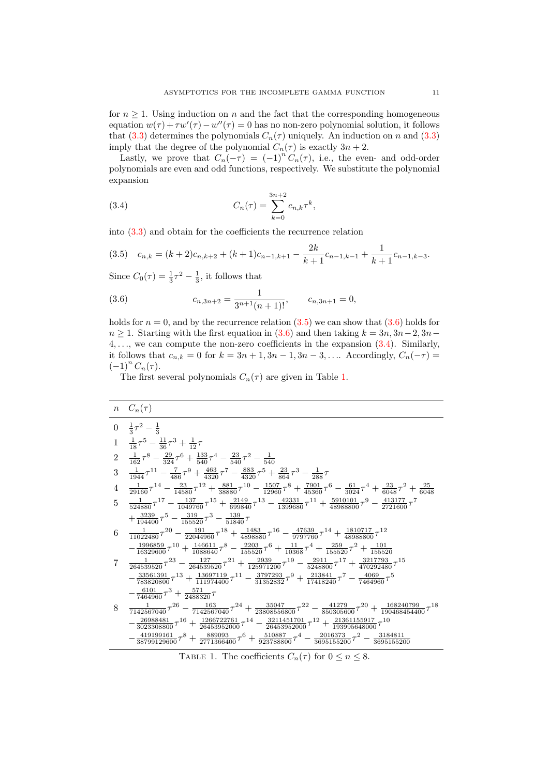<span id="page-11-0"></span>for  $n \geq 1$ . Using induction on n and the fact that the corresponding homogeneous equation  $w(\tau) + \tau w'(\tau) - w''(\tau) = 0$  has no non-zero polynomial solution, it follows that [\(3.3\)](#page-10-0) determines the polynomials  $C_n(\tau)$  uniquely. An induction on n and (3.3) imply that the degree of the polynomial  $C_n(\tau)$  is exactly  $3n + 2$ .

Lastly, we prove that  $C_n(-\tau) = (-1)^n C_n(\tau)$ , i.e., the even- and odd-order polynomials are even and odd functions, respectively. We substitute the polynomial expansion

(3.4) 
$$
C_n(\tau) = \sum_{k=0}^{3n+2} c_{n,k} \tau^k,
$$

into [\(3.3\)](#page-10-0) and obtain for the coefficients the recurrence relation

$$
(3.5) \quad c_{n,k} = (k+2)c_{n,k+2} + (k+1)c_{n-1,k+1} - \frac{2k}{k+1}c_{n-1,k-1} + \frac{1}{k+1}c_{n-1,k-3}.
$$

Since  $C_0(\tau) = \frac{1}{3}\tau^2 - \frac{1}{3}$ , it follows that

(3.6) 
$$
c_{n,3n+2} = \frac{1}{3^{n+1}(n+1)!}, \qquad c_{n,3n+1} = 0,
$$

holds for  $n = 0$ , and by the recurrence relation (3.5) we can show that (3.6) holds for  $n \geq 1$ . Starting with the first equation in (3.6) and then taking  $k = 3n, 3n-2, 3n-1$  $4, \ldots$ , we can compute the non-zero coefficients in the expansion  $(3.4)$ . Similarly, it follows that  $c_{n,k} = 0$  for  $k = 3n + 1, 3n - 1, 3n - 3, \ldots$  Accordingly,  $C_n(-\tau) =$  $(-1)^n C_n(\tau)$ .

The first several polynomials  $C_n(\tau)$  are given in Table 1.

|   | $n \quad C_n(\tau)$                                                                                                                                                                                            |
|---|----------------------------------------------------------------------------------------------------------------------------------------------------------------------------------------------------------------|
|   | $0 \frac{1}{3}\tau^2 - \frac{1}{3}$                                                                                                                                                                            |
|   | 1 $\frac{1}{18}\tau^5 - \frac{11}{36}\tau^3 + \frac{1}{12}\tau$                                                                                                                                                |
|   | 2 $\frac{1}{162}\tau^8 - \frac{29}{324}\tau^6 + \frac{133}{540}\tau^4 - \frac{23}{540}\tau^2 - \frac{1}{540}$                                                                                                  |
| 3 | $-\frac{1}{1944}\tau^{11}-\frac{7}{486}\tau^9+\frac{463}{4320}\tau^7-\frac{883}{4320}\tau^5+\frac{23}{864}\tau^3-\frac{1}{288}\tau$                                                                            |
|   | $4\frac{1}{29160}\tau^{14}-\frac{23}{14580}\tau^{12}+\frac{881}{38880}\tau^{10}-\frac{1507}{12960}\tau^{8}+\frac{7901}{45360}\tau^{6}-\frac{61}{3024}\tau^{4}+\frac{23}{6048}\tau^{2}+\frac{25}{6048}\tau^{3}$ |
|   | $5\frac{1}{524880}\tau^{17} - \frac{137}{1049760}\tau^{15} + \frac{2149}{699840}\tau^{13} - \frac{42331}{1399680}\tau^{11} + \frac{5910101}{48988800}\tau^{9} - \frac{413177}{2721600}\tau^{7}$                |
|   | $+\frac{3239}{194400}\tau^5-\frac{319}{155520}\tau^3-\frac{139}{51840}\tau$                                                                                                                                    |
| 6 | $\frac{1}{11022480}\tau^{20} - \frac{191}{22044960}\tau^{18} + \frac{1483}{4898880}\tau^{16} - \frac{47639}{9797760}\tau^{14} + \frac{1810717}{48988800}\tau^{12}$                                             |
|   | $-\frac{1996859}{16329600}\tau^{10} + \frac{146611}{1088640}\tau^8 - \frac{2203}{155520}\tau^6 + \frac{11}{10368}\tau^4 + \frac{259}{155520}\tau^2 + \frac{101}{155520}$                                       |
|   | $7\quad \frac{1}{264539520}\tau^{23} - \frac{127}{264539520}\tau^{21} + \frac{2939}{125971200}\tau^{19} - \frac{2911}{5248800}\tau^{17} + \frac{3217793}{470292480}\tau^{15}$                                  |
|   | $-\frac{33561391}{783820800}\tau^{13} + \frac{13697119}{111974400}\tau^{11} - \frac{3797293}{31352832}\tau^9 + \frac{213841}{17418240}\tau^7 - \frac{4069}{7464960}\tau^5$                                     |
|   | $-\frac{6101}{7464960}\tau^3+\frac{571}{2488320}\tau$                                                                                                                                                          |
| 8 | $\frac{1}{7142567040}\tau^{26} - \frac{163}{7142567040}\tau^{24} + \frac{35047}{23808556800}\tau^{22} - \frac{41279}{850305600}\tau^{20} + \frac{168240799}{190468454400}\tau^{18}$                            |
|   | $-\frac{26988481}{3023308800}\tau^{16}+\frac{1266722761}{26453952000}\tau^{14}-\frac{3211451701}{26453952000}\tau^{12}+\frac{21361155917}{193995648000}\tau^{10}$                                              |
|   | $-\frac{419199161}{38799129600}\tau^8+\frac{889093}{2771366400}\tau^6+\frac{510887}{923788800}\tau^4-\frac{2016373}{3695155200}\tau^2-\frac{3184811}{3695155200}$                                              |
|   |                                                                                                                                                                                                                |

TABLE 1. The coefficients  $C_n(\tau)$  for  $0 \leq n \leq 8$ .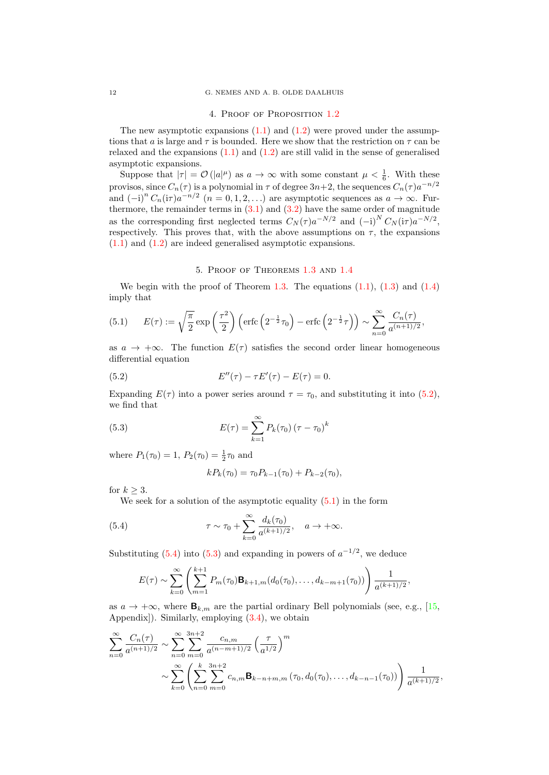#### 4. Proof of Proposition [1.2](#page-3-0)

<span id="page-12-0"></span>The new asymptotic expansions  $(1.1)$  and  $(1.2)$  were proved under the assumptions that a is large and  $\tau$  is bounded. Here we show that the restriction on  $\tau$  can be relaxed and the expansions  $(1.1)$  and  $(1.2)$  are still valid in the sense of generalised asymptotic expansions.

Suppose that  $|\tau| = \mathcal{O}(|a|^{\mu})$  as  $a \to \infty$  with some constant  $\mu < \frac{1}{6}$ . With these provisos, since  $C_n(\tau)$  is a polynomial in  $\tau$  of degree  $3n+2$ , the sequences  $C_n(\tau)a^{-n/2}$ and  $(-i)^n C_n(i\tau) a^{-n/2}$   $(n = 0, 1, 2, ...)$  are asymptotic sequences as  $a \to \infty$ . Furthermore, the remainder terms in  $(3.1)$  and  $(3.2)$  have the same order of magnitude as the corresponding first neglected terms  $C_N(\tau) a^{-N/2}$  and  $(-i)^N C_N(i\tau) a^{-N/2}$ , respectively. This proves that, with the above assumptions on  $\tau$ , the expansions [\(1.1\)](#page-2-0) and [\(1.2\)](#page-2-0) are indeed generalised asymptotic expansions.

#### 5. Proof of Theorems [1.3](#page-3-0) and [1.4](#page-4-0)

We begin with the proof of Theorem [1.3.](#page-3-0) The equations  $(1.1)$ ,  $(1.3)$  and  $(1.4)$ imply that

(5.1) 
$$
E(\tau) := \sqrt{\frac{\pi}{2}} \exp\left(\frac{\tau^2}{2}\right) \left( \text{erfc}\left(2^{-\frac{1}{2}}\tau_0\right) - \text{erfc}\left(2^{-\frac{1}{2}}\tau\right) \right) \sim \sum_{n=0}^{\infty} \frac{C_n(\tau)}{a^{(n+1)/2}},
$$

as  $a \to +\infty$ . The function  $E(\tau)$  satisfies the second order linear homogeneous differential equation

(5.2) 
$$
E''(\tau) - \tau E'(\tau) - E(\tau) = 0.
$$

Expanding  $E(\tau)$  into a power series around  $\tau = \tau_0$ , and substituting it into (5.2), we find that

(5.3) 
$$
E(\tau) = \sum_{k=1}^{\infty} P_k(\tau_0) (\tau - \tau_0)^k
$$

where  $P_1(\tau_0) = 1, P_2(\tau_0) = \frac{1}{2}\tau_0$  and

$$
kP_k(\tau_0) = \tau_0 P_{k-1}(\tau_0) + P_{k-2}(\tau_0),
$$

for  $k \geq 3$ .

We seek for a solution of the asymptotic equality  $(5.1)$  in the form

(5.4) 
$$
\tau \sim \tau_0 + \sum_{k=0}^{\infty} \frac{d_k(\tau_0)}{a^{(k+1)/2}}, \quad a \to +\infty.
$$

Substituting  $(5.4)$  into  $(5.3)$  and expanding in powers of  $a^{-1/2}$ , we deduce

$$
E(\tau) \sim \sum_{k=0}^{\infty} \left( \sum_{m=1}^{k+1} P_m(\tau_0) \mathbf{B}_{k+1,m}(d_0(\tau_0),\ldots,d_{k-m+1}(\tau_0)) \right) \frac{1}{a^{(k+1)/2}},
$$

as  $a \to +\infty$ , where  $\mathbf{B}_{k,m}$  are the partial ordinary Bell polynomials (see, e.g., [\[15,](#page-20-0) Appendix]). Similarly, employing [\(3.4\)](#page-11-0), we obtain

$$
\sum_{n=0}^{\infty} \frac{C_n(\tau)}{a^{(n+1)/2}} \sim \sum_{n=0}^{\infty} \sum_{m=0}^{3n+2} \frac{c_{n,m}}{a^{(n-m+1)/2}} \left(\frac{\tau}{a^{1/2}}\right)^m
$$
  

$$
\sim \sum_{k=0}^{\infty} \left(\sum_{n=0}^{k} \sum_{m=0}^{3n+2} c_{n,m} \mathbf{B}_{k-n+m,m}(\tau_0, d_0(\tau_0), \dots, d_{k-n-1}(\tau_0))\right) \frac{1}{a^{(k+1)/2}},
$$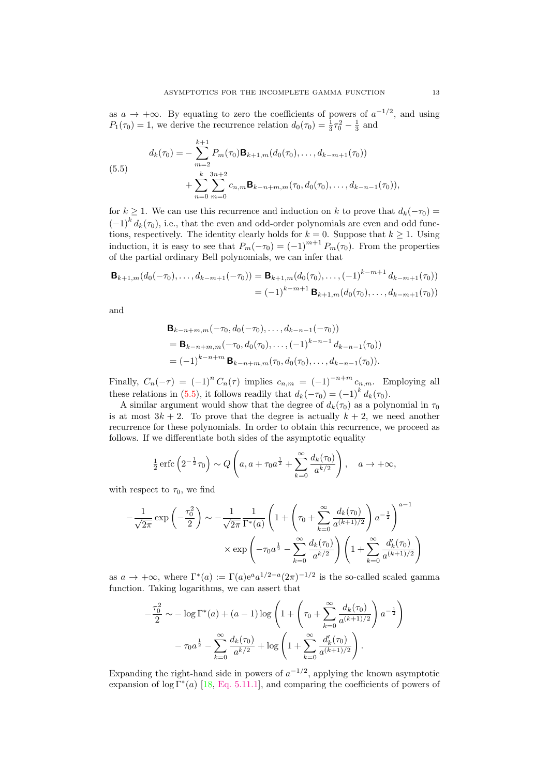<span id="page-13-0"></span>as  $a \to +\infty$ . By equating to zero the coefficients of powers of  $a^{-1/2}$ , and using  $P_1(\tau_0) = 1$ , we derive the recurrence relation  $d_0(\tau_0) = \frac{1}{3}\tau_0^2 - \frac{1}{3}$  and

(5.5)  

$$
d_k(\tau_0) = -\sum_{m=2}^{k+1} P_m(\tau_0) \mathbf{B}_{k+1,m}(d_0(\tau_0), \dots, d_{k-m+1}(\tau_0)) + \sum_{n=0}^{k} \sum_{m=0}^{3n+2} c_{n,m} \mathbf{B}_{k-n+m,m}(\tau_0, d_0(\tau_0), \dots, d_{k-n-1}(\tau_0)),
$$

for  $k \geq 1$ . We can use this recurrence and induction on k to prove that  $d_k(-\tau_0) =$  $(-1)^k d_k(\tau_0)$ , i.e., that the even and odd-order polynomials are even and odd functions, respectively. The identity clearly holds for  $k = 0$ . Suppose that  $k \ge 1$ . Using induction, it is easy to see that  $P_m(-\tau_0) = (-1)^{m+1} P_m(\tau_0)$ . From the properties of the partial ordinary Bell polynomials, we can infer that

$$
\mathbf{B}_{k+1,m}(d_0(-\tau_0),\ldots,d_{k-m+1}(-\tau_0)) = \mathbf{B}_{k+1,m}(d_0(\tau_0),\ldots,(-1)^{k-m+1}d_{k-m+1}(\tau_0))
$$
  
=  $(-1)^{k-m+1}\mathbf{B}_{k+1,m}(d_0(\tau_0),\ldots,d_{k-m+1}(\tau_0))$ 

and

$$
\mathbf{B}_{k-n+m,m}(-\tau_0, d_0(-\tau_0), \dots, d_{k-n-1}(-\tau_0))
$$
  
=  $\mathbf{B}_{k-n+m,m}(-\tau_0, d_0(\tau_0), \dots, (-1)^{k-n-1} d_{k-n-1}(\tau_0))$   
=  $(-1)^{k-n+m} \mathbf{B}_{k-n+m,m}(\tau_0, d_0(\tau_0), \dots, d_{k-n-1}(\tau_0)).$ 

Finally,  $C_n(-\tau) = (-1)^n C_n(\tau)$  implies  $c_{n,m} = (-1)^{-n+m} c_{n,m}$ . Employing all these relations in (5.5), it follows readily that  $d_k(-\tau_0) = (-1)^k d_k(\tau_0)$ .

A similar argument would show that the degree of  $d_k(\tau_0)$  as a polynomial in  $\tau_0$ is at most  $3k + 2$ . To prove that the degree is actually  $k + 2$ , we need another recurrence for these polynomials. In order to obtain this recurrence, we proceed as follows. If we differentiate both sides of the asymptotic equality

$$
\frac{1}{2}\operatorname{erfc}\left(2^{-\frac{1}{2}}\tau_0\right) \sim Q\left(a, a+\tau_0 a^{\frac{1}{2}}+\sum_{k=0}^{\infty}\frac{d_k(\tau_0)}{a^{k/2}}\right), \quad a \to +\infty,
$$

with respect to  $\tau_0$ , we find

$$
-\frac{1}{\sqrt{2\pi}} \exp\left(-\frac{\tau_0^2}{2}\right) \sim -\frac{1}{\sqrt{2\pi}} \frac{1}{\Gamma^*(a)} \left(1 + \left(\tau_0 + \sum_{k=0}^{\infty} \frac{d_k(\tau_0)}{a^{(k+1)/2}}\right) a^{-\frac{1}{2}}\right)^{a-1} \times \exp\left(-\tau_0 a^{\frac{1}{2}} - \sum_{k=0}^{\infty} \frac{d_k(\tau_0)}{a^{k/2}}\right) \left(1 + \sum_{k=0}^{\infty} \frac{d'_k(\tau_0)}{a^{(k+1)/2}}\right)
$$

as  $a \to +\infty$ , where  $\Gamma^*(a) := \Gamma(a)e^a a^{1/2-a}(2\pi)^{-1/2}$  is the so-called scaled gamma function. Taking logarithms, we can assert that

$$
-\frac{\tau_0^2}{2} \sim -\log \Gamma^*(a) + (a-1)\log \left(1 + \left(\tau_0 + \sum_{k=0}^{\infty} \frac{d_k(\tau_0)}{a^{(k+1)/2}}\right) a^{-\frac{1}{2}}\right) - \tau_0 a^{\frac{1}{2}} - \sum_{k=0}^{\infty} \frac{d_k(\tau_0)}{a^{k/2}} + \log \left(1 + \sum_{k=0}^{\infty} \frac{d'_k(\tau_0)}{a^{(k+1)/2}}\right).
$$

Expanding the right-hand side in powers of  $a^{-1/2}$ , applying the known asymptotic expansion of  $\log \Gamma^*(a)$  [\[18,](#page-20-0) [Eq. 5.11.1\]](http://dlmf.nist.gov/5.11.1), and comparing the coefficients of powers of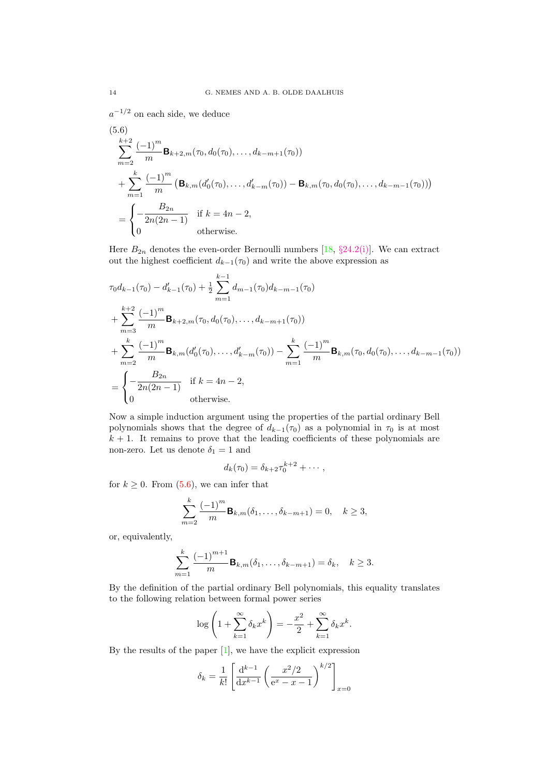$a^{-1/2}$  on each side, we deduce

(5.6)  
\n
$$
\sum_{m=2}^{k+2} \frac{(-1)^m}{m} \mathbf{B}_{k+2,m}(\tau_0, d_0(\tau_0), \dots, d_{k-m+1}(\tau_0))
$$
\n
$$
+ \sum_{m=1}^k \frac{(-1)^m}{m} \left( \mathbf{B}_{k,m}(d'_0(\tau_0), \dots, d'_{k-m}(\tau_0)) - \mathbf{B}_{k,m}(\tau_0, d_0(\tau_0), \dots, d_{k-m-1}(\tau_0)) \right)
$$
\n
$$
= \begin{cases}\n-\frac{B_{2n}}{2n(2n-1)} & \text{if } k = 4n-2, \\
0 & \text{otherwise.}\n\end{cases}
$$

Here  $B_{2n}$  denotes the even-order Bernoulli numbers [\[18,](#page-20-0) §[24.2\(i\)\]](http://dlmf.nist.gov/24.2.i). We can extract out the highest coefficient  $d_{k-1}(\tau_0)$  and write the above expression as

$$
\tau_0 d_{k-1}(\tau_0) - d'_{k-1}(\tau_0) + \frac{1}{2} \sum_{m=1}^{k-1} d_{m-1}(\tau_0) d_{k-m-1}(\tau_0)
$$
  
+ 
$$
\sum_{m=3}^{k+2} \frac{(-1)^m}{m} \mathbf{B}_{k+2,m}(\tau_0, d_0(\tau_0), \dots, d_{k-m+1}(\tau_0))
$$
  
+ 
$$
\sum_{m=2}^{k} \frac{(-1)^m}{m} \mathbf{B}_{k,m} (d'_0(\tau_0), \dots, d'_{k-m}(\tau_0)) - \sum_{m=1}^{k} \frac{(-1)^m}{m} \mathbf{B}_{k,m}(\tau_0, d_0(\tau_0), \dots, d_{k-m-1}(\tau_0))
$$
  
= 
$$
\begin{cases} -\frac{B_{2n}}{2n(2n-1)} & \text{if } k = 4n-2, \\ 0 & \text{otherwise.} \end{cases}
$$

Now a simple induction argument using the properties of the partial ordinary Bell polynomials shows that the degree of  $d_{k-1}(\tau_0)$  as a polynomial in  $\tau_0$  is at most  $k + 1$ . It remains to prove that the leading coefficients of these polynomials are non-zero. Let us denote  $\delta_1=1$  and

$$
d_k(\tau_0)=\delta_{k+2}\tau_0^{k+2}+\cdots,
$$

for  $k \geq 0$ . From  $(5.6)$ , we can infer that

$$
\sum_{m=2}^{k} \frac{(-1)^m}{m} \mathbf{B}_{k,m}(\delta_1, \dots, \delta_{k-m+1}) = 0, \quad k \ge 3,
$$

or, equivalently,

$$
\sum_{m=1}^{k} \frac{(-1)^{m+1}}{m} \mathbf{B}_{k,m}(\delta_1, \dots, \delta_{k-m+1}) = \delta_k, \quad k \ge 3.
$$

By the definition of the partial ordinary Bell polynomials, this equality translates to the following relation between formal power series

$$
\log\left(1+\sum_{k=1}^{\infty}\delta_kx^k\right)=-\frac{x^2}{2}+\sum_{k=1}^{\infty}\delta_kx^k.
$$

By the results of the paper [\[1\]](#page-20-0), we have the explicit expression

$$
\delta_k = \frac{1}{k!} \left[ \frac{d^{k-1}}{dx^{k-1}} \left( \frac{x^2/2}{e^x - x - 1} \right)^{k/2} \right]_{x=0}
$$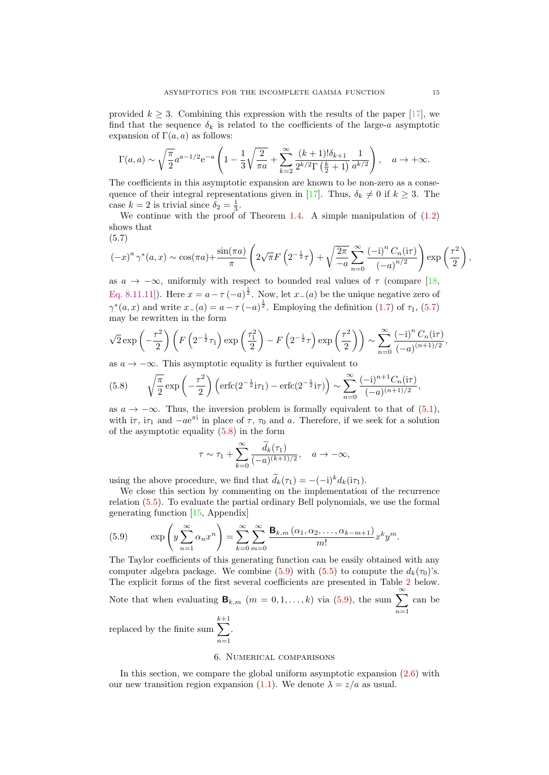<span id="page-15-0"></span>provided  $k \geq 3$ . Combining this expression with the results of the paper [\[17\]](#page-20-0), we find that the sequence  $\delta_k$  is related to the coefficients of the large-a asymptotic expansion of  $\Gamma(a, a)$  as follows:

$$
\Gamma(a, a) \sim \sqrt{\frac{\pi}{2}} a^{a-1/2} e^{-a} \left( 1 - \frac{1}{3} \sqrt{\frac{2}{\pi a}} + \sum_{k=2}^{\infty} \frac{(k+1)! \delta_{k+1}}{2^{k/2} \Gamma(\frac{k}{2}+1)} \frac{1}{a^{k/2}} \right), \quad a \to +\infty.
$$

The coefficients in this asymptotic expansion are known to be non-zero as a conse-quence of their integral representations given in [\[17\]](#page-20-0). Thus,  $\delta_k \neq 0$  if  $k \geq 3$ . The case  $k = 2$  is trivial since  $\delta_2 = \frac{1}{3}$ .

We continue with the proof of Theorem [1.4.](#page-4-0) A simple manipulation of  $(1.2)$ shows that

$$
(5.7)
$$

$$
(-x)^{a} \gamma^{*}(a,x) \sim \cos(\pi a) + \frac{\sin(\pi a)}{\pi} \left(2\sqrt{\pi}F\left(2^{-\frac{1}{2}}\tau\right) + \sqrt{\frac{2\pi}{-a}} \sum_{n=0}^{\infty} \frac{(-i)^{n} C_{n}(i\tau)}{(-a)^{n/2}}\right) \exp\left(\frac{\tau^{2}}{2}\right),
$$

as  $a \to -\infty$ , uniformly with respect to bounded real values of  $\tau$  (compare [\[18,](#page-20-0) [Eq. 8.11.11\]](http://dlmf.nist.gov/8.11.11)). Here  $x = a - \tau(-a)^{\frac{1}{2}}$ . Now, let  $x_-(a)$  be the unique negative zero of  $\gamma^*(a,x)$  and write  $x_-(a) = a - \tau(-a)^{\frac{1}{2}}$ . Employing the definition [\(1.7\)](#page-4-0) of  $\tau_1$ , (5.7) may be rewritten in the form

$$
\sqrt{2} \exp\left(-\frac{\tau^2}{2}\right) \left(F\left(2^{-\frac{1}{2}}\tau_1\right) \exp\left(\frac{\tau_1^2}{2}\right) - F\left(2^{-\frac{1}{2}}\tau\right) \exp\left(\frac{\tau^2}{2}\right)\right) \sim \sum_{n=0}^{\infty} \frac{(-i)^n C_n (i\tau)}{(-a)^{(n+1)/2}},
$$

as  $a \to -\infty$ . This asymptotic equality is further equivalent to

(5.8) 
$$
\sqrt{\frac{\pi}{2}} \exp\left(-\frac{\tau^2}{2}\right) \left( \text{erfc}\left(2^{-\frac{1}{2}}i\tau_1\right) - \text{erfc}\left(2^{-\frac{1}{2}}i\tau\right) \right) \sim \sum_{n=0}^{\infty} \frac{(-i)^{n+1} C_n(i\tau)}{(-a)^{(n+1)/2}},
$$

as  $a \to -\infty$ . Thus, the inversion problem is formally equivalent to that of [\(5.1\)](#page-12-0), with  $i\tau$ ,  $i\tau_1$  and  $-ae^{\pi i}$  in place of  $\tau$ ,  $\tau_0$  and a. Therefore, if we seek for a solution of the asymptotic equality  $(5.8)$  in the form

$$
\tau \sim \tau_1 + \sum_{k=0}^\infty \frac{\widetilde{d}_k(\tau_1)}{(-a)^{(k+1)/2}}, \quad a \to -\infty,
$$

using the above procedure, we find that  $\widetilde{d}_k(\tau_1) = -(-i)^k d_k(i\tau_1)$ .

.

We close this section by commenting on the implementation of the recurrence relation [\(5.5\)](#page-13-0). To evaluate the partial ordinary Bell polynomials, we use the formal generating function [\[15,](#page-20-0) Appendix]

(5.9) 
$$
\exp\left(y\sum_{n=1}^{\infty}\alpha_n x^n\right) = \sum_{k=0}^{\infty}\sum_{m=0}^{\infty}\frac{\mathbf{B}_{k,m}\left(\alpha_1,\alpha_2,\ldots,\alpha_{k-m+1}\right)}{m!}x^k y^m.
$$

The Taylor coefficients of this generating function can be easily obtained with any computer algebra package. We combine (5.9) with [\(5.5\)](#page-13-0) to compute the  $d_k(\tau_0)$ 's. The explicit forms of the first several coefficients are presented in Table [2](#page-16-0) below.

Note that when evaluating  $\mathbf{B}_{k,m}$   $(m = 0, 1, \ldots, k)$  via  $(5.9)$ , the sum  $\sum_{k=1}^{\infty}$  $n=1$ can be

replaced by the finite sum  $\sum^{k+1}$  $n=1$ 

#### 6. Numerical comparisons

In this section, we compare the global uniform asymptotic expansion [\(2.6\)](#page-7-0) with our new transition region expansion [\(1.1\)](#page-2-0). We denote  $\lambda = z/a$  as usual.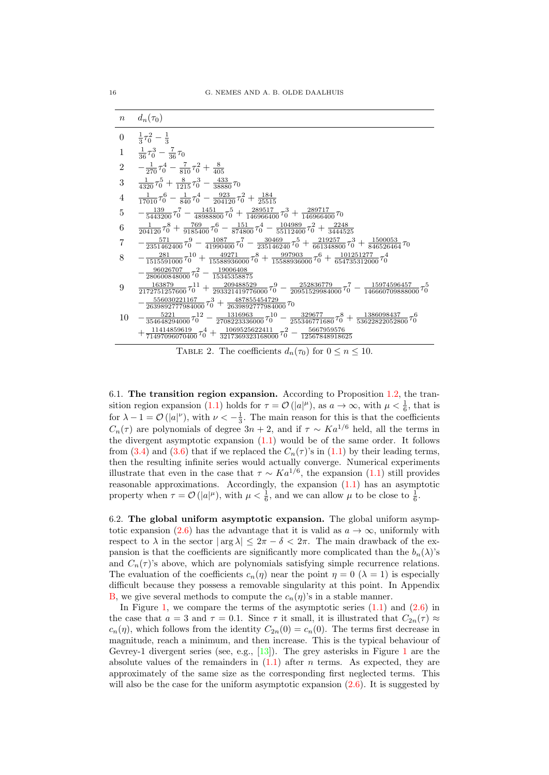

TABLE 2. The coefficients  $d_n(\tau_0)$  for  $0 \le n \le 10$ .

6.1. The transition region expansion. According to Proposition [1.2,](#page-3-0) the tran-sition region expansion [\(1.1\)](#page-2-0) holds for  $\tau = \mathcal{O}(|a|^{\mu})$ , as  $a \to \infty$ , with  $\mu < \frac{1}{6}$ , that is for  $\lambda - 1 = \mathcal{O}(|a|^{\nu})$ , with  $\nu < -\frac{1}{3}$ . The main reason for this is that the coefficients  $C_n(\tau)$  are polynomials of degree  $3n + 2$ , and if  $\tau \sim Ka^{1/6}$  held, all the terms in the divergent asymptotic expansion [\(1.1\)](#page-2-0) would be of the same order. It follows from [\(3.4\)](#page-11-0) and [\(3.6\)](#page-11-0) that if we replaced the  $C_n(\tau)$ 's in [\(1.1\)](#page-2-0) by their leading terms, then the resulting infinite series would actually converge. Numerical experiments illustrate that even in the case that  $\tau \sim Ka^{1/6}$ , the expansion [\(1.1\)](#page-2-0) still provides reasonable approximations. Accordingly, the expansion [\(1.1\)](#page-2-0) has an asymptotic property when  $\tau = \mathcal{O}(|a|^{\mu})$ , with  $\mu < \frac{1}{6}$ , and we can allow  $\mu$  to be close to  $\frac{1}{6}$ .

6.2. The global uniform asymptotic expansion. The global uniform asymp-totic expansion [\(2.6\)](#page-7-0) has the advantage that it is valid as  $a \to \infty$ , uniformly with respect to  $\lambda$  in the sector  $|\arg \lambda| \leq 2\pi - \delta < 2\pi$ . The main drawback of the expansion is that the coefficients are significantly more complicated than the  $b_n(\lambda)$ 's and  $C_n(\tau)$ 's above, which are polynomials satisfying simple recurrence relations. The evaluation of the coefficients  $c_n(\eta)$  near the point  $\eta = 0$  ( $\lambda = 1$ ) is especially difficult because they possess a removable singularity at this point. In Appendix [B,](#page-18-0) we give several methods to compute the  $c_n(\eta)$ 's in a stable manner.

In Figure [1,](#page-17-0) we compare the terms of the asymptotic series  $(1.1)$  and  $(2.6)$  in the case that  $a = 3$  and  $\tau = 0.1$ . Since  $\tau$  it small, it is illustrated that  $C_{2n}(\tau) \approx$  $c_n(\eta)$ , which follows from the identity  $C_{2n}(0) = c_n(0)$ . The terms first decrease in magnitude, reach a minimum, and then increase. This is the typical behaviour of Gevrey-1 divergent series (see, e.g., [\[13\]](#page-20-0)). The grey asterisks in Figure [1](#page-17-0) are the absolute values of the remainders in  $(1.1)$  after n terms. As expected, they are approximately of the same size as the corresponding first neglected terms. This will also be the case for the uniform asymptotic expansion  $(2.6)$ . It is suggested by

<span id="page-16-0"></span>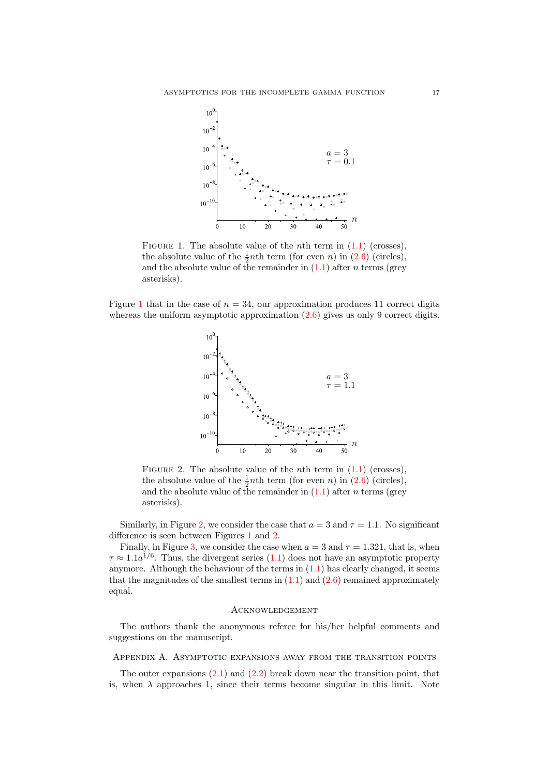<span id="page-17-0"></span>

FIGURE 1. The absolute value of the *n*th term in  $(1.1)$  (crosses), the absolute value of the  $\frac{1}{2}$ nth term (for even n) in [\(2.6\)](#page-7-0) (circles), and the absolute value of the remainder in  $(1.1)$  after *n* terms (grey asterisks).

Figure 1 that in the case of  $n = 34$ , our approximation produces 11 correct digits whereas the uniform asymptotic approximation  $(2.6)$  gives us only 9 correct digits.



FIGURE 2. The absolute value of the *n*th term in  $(1.1)$  (crosses), the absolute value of the  $\frac{1}{2}$ nth term (for even n) in [\(2.6\)](#page-7-0) (circles), and the absolute value of the remainder in  $(1.1)$  after *n* terms (grey asterisks).

Similarly, in Figure 2, we consider the case that  $a = 3$  and  $\tau = 1.1$ . No significant difference is seen between Figures 1 and 2.

Finally, in Figure [3,](#page-18-0) we consider the case when  $a = 3$  and  $\tau = 1.321$ , that is, when  $\tau \approx 1.1a^{1/6}$ . Thus, the divergent series [\(1.1\)](#page-2-0) does not have an asymptotic property anymore. Although the behaviour of the terms in  $(1.1)$  has clearly changed, it seems that the magnitudes of the smallest terms in  $(1.1)$  and  $(2.6)$  remained approximately equal.

#### Acknowledgement

The authors thank the anonymous referee for his/her helpful comments and suggestions on the manuscript.

Appendix A. Asymptotic expansions away from the transition points

The outer expansions  $(2.1)$  and  $(2.2)$  break down near the transition point, that is, when  $\lambda$  approaches 1, since their terms become singular in this limit. Note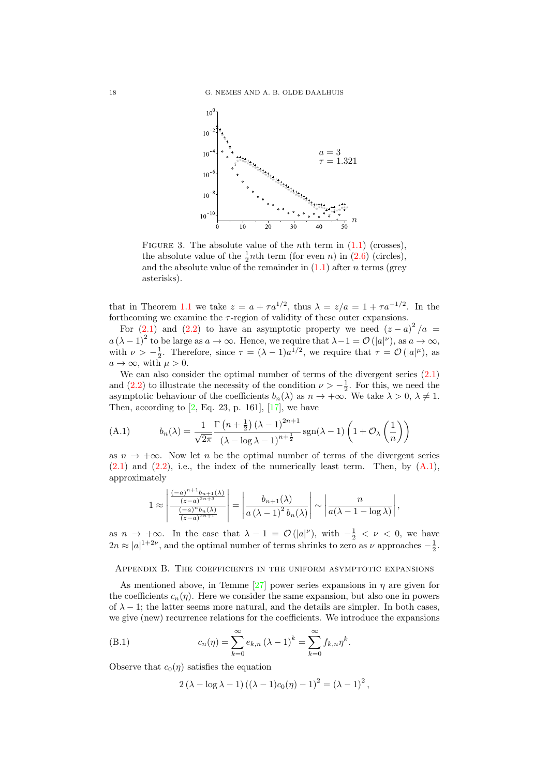<span id="page-18-0"></span>

FIGURE 3. The absolute value of the *n*th term in  $(1.1)$  (crosses), the absolute value of the  $\frac{1}{2}$ nth term (for even n) in [\(2.6\)](#page-7-0) (circles), and the absolute value of the remainder in  $(1.1)$  after *n* terms (grey asterisks).

that in Theorem [1.1](#page-2-0) we take  $z = a + \tau a^{1/2}$ , thus  $\lambda = z/a = 1 + \tau a^{-1/2}$ . In the forthcoming we examine the  $\tau$ -region of validity of these outer expansions.

For [\(2.1\)](#page-5-0) and [\(2.2\)](#page-5-0) to have an asymptotic property we need  $(z-a)^2/a =$  $a (\lambda - 1)^2$  to be large as  $a \to \infty$ . Hence, we require that  $\lambda - 1 = \mathcal{O}(|a|^{\nu})$ , as  $a \to \infty$ , with  $\nu > -\frac{1}{2}$ . Therefore, since  $\tau = (\lambda - 1)a^{1/2}$ , we require that  $\tau = \mathcal{O}(|a|^{\mu})$ , as  $a \to \infty$ , with  $\mu > 0$ .

We can also consider the optimal number of terms of the divergent series  $(2.1)$ and [\(2.2\)](#page-5-0) to illustrate the necessity of the condition  $\nu > -\frac{1}{2}$ . For this, we need the asymptotic behaviour of the coefficients  $b_n(\lambda)$  as  $n \to +\infty$ . We take  $\lambda > 0, \lambda \neq 1$ . Then, according to  $[2, Eq. 23, p. 161], [17]$  $[2, Eq. 23, p. 161], [17]$ , we have

(A.1) 
$$
b_n(\lambda) = \frac{1}{\sqrt{2\pi}} \frac{\Gamma\left(n + \frac{1}{2}\right) (\lambda - 1)^{2n+1}}{(\lambda - \log \lambda - 1)^{n + \frac{1}{2}}} \operatorname{sgn}(\lambda - 1) \left(1 + \mathcal{O}_{\lambda}\left(\frac{1}{n}\right)\right)
$$

as  $n \to +\infty$ . Now let n be the optimal number of terms of the divergent series  $(2.1)$  and  $(2.2)$ , i.e., the index of the numerically least term. Then, by  $(A.1)$ , approximately

$$
1\approx\left|\frac{\frac{(-a)^{n+1}b_{n+1}(\lambda)}{(z-a)^{2n+3}}}{\frac{(-a)^{n}b_{n}(\lambda)}{(z-a)^{2n+1}}}\right|=\left|\frac{b_{n+1}(\lambda)}{a\left(\lambda-1\right)^{2}b_{n}(\lambda)}\right|\sim\left|\frac{n}{a(\lambda-1-\log\lambda)}\right|,
$$

as  $n \to +\infty$ . In the case that  $\lambda - 1 = \mathcal{O}(|a|^{\nu})$ , with  $-\frac{1}{2} < \nu < 0$ , we have  $2n \approx |a|^{1+2\nu}$ , and the optimal number of terms shrinks to zero as  $\nu$  approaches  $-\frac{1}{2}$ .

Appendix B. The coefficients in the uniform asymptotic expansions

As mentioned above, in Temme [\[27\]](#page-21-0) power series expansions in  $\eta$  are given for the coefficients  $c_n(\eta)$ . Here we consider the same expansion, but also one in powers of  $\lambda - 1$ ; the latter seems more natural, and the details are simpler. In both cases, we give (new) recurrence relations for the coefficients. We introduce the expansions

(B.1) 
$$
c_n(\eta) = \sum_{k=0}^{\infty} e_{k,n} (\lambda - 1)^k = \sum_{k=0}^{\infty} f_{k,n} \eta^k.
$$

Observe that  $c_0(\eta)$  satisfies the equation

$$
2 (\lambda - \log \lambda - 1) ((\lambda - 1)c_0(\eta) - 1)^2 = (\lambda - 1)^2,
$$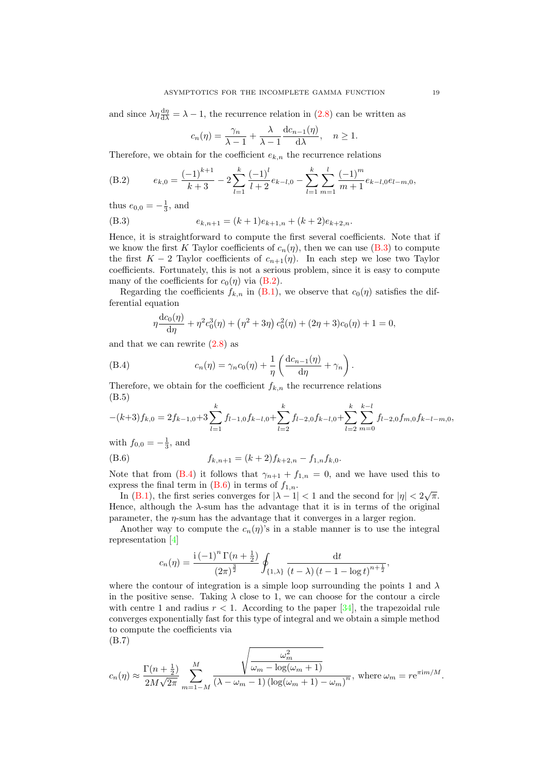<span id="page-19-0"></span>and since  $\lambda \eta \frac{d\eta}{d\lambda} = \lambda - 1$ , the recurrence relation in [\(2.8\)](#page-7-0) can be written as

$$
c_n(\eta) = \frac{\gamma_n}{\lambda - 1} + \frac{\lambda}{\lambda - 1} \frac{\mathrm{d}c_{n-1}(\eta)}{\mathrm{d}\lambda}, \quad n \ge 1.
$$

Therefore, we obtain for the coefficient  $e_{k,n}$  the recurrence relations

(B.2) 
$$
e_{k,0} = \frac{(-1)^{k+1}}{k+3} - 2\sum_{l=1}^{k} \frac{(-1)^l}{l+2} e_{k-l,0} - \sum_{l=1}^{k} \sum_{m=1}^{l} \frac{(-1)^m}{m+1} e_{k-l,0} e_{l-m,0},
$$

thus  $e_{0,0} = -\frac{1}{3}$ , and

(B.3) 
$$
e_{k,n+1} = (k+1)e_{k+1,n} + (k+2)e_{k+2,n}.
$$

Hence, it is straightforward to compute the first several coefficients. Note that if we know the first K Taylor coefficients of  $c_n(\eta)$ , then we can use (B.3) to compute the first  $K - 2$  Taylor coefficients of  $c_{n+1}(\eta)$ . In each step we lose two Taylor coefficients. Fortunately, this is not a serious problem, since it is easy to compute many of the coefficients for  $c_0(\eta)$  via (B.2).

Regarding the coefficients  $f_{k,n}$  in  $(B.1)$ , we observe that  $c_0(\eta)$  satisfies the differential equation

$$
\eta \frac{dc_0(\eta)}{d\eta} + \eta^2 c_0^3(\eta) + (\eta^2 + 3\eta) c_0^2(\eta) + (2\eta + 3)c_0(\eta) + 1 = 0,
$$

and that we can rewrite  $(2.8)$  as

(B.4) 
$$
c_n(\eta) = \gamma_n c_0(\eta) + \frac{1}{\eta} \left( \frac{d c_{n-1}(\eta)}{d \eta} + \gamma_n \right).
$$

Therefore, we obtain for the coefficient  $f_{k,n}$  the recurrence relations (B.5)

$$
-(k+3)f_{k,0} = 2f_{k-1,0} + 3\sum_{l=1}^{k} f_{l-1,0}f_{k-l,0} + \sum_{l=2}^{k} f_{l-2,0}f_{k-l,0} + \sum_{l=2}^{k} \sum_{m=0}^{k-l} f_{l-2,0}f_{m,0}f_{k-l-m,0},
$$

with  $f_{0,0} = -\frac{1}{3}$ , and

(B.6) 
$$
f_{k,n+1} = (k+2)f_{k+2,n} - f_{1,n}f_{k,0}.
$$

Note that from (B.4) it follows that  $\gamma_{n+1} + f_{1,n} = 0$ , and we have used this to express the final term in  $(B.6)$  in terms of  $f_{1,n}$ .

In [\(B.1\)](#page-18-0), the first series converges for  $|\lambda - 1| < 1$  and the second for  $|\eta| < 2\sqrt{\pi}$ . Hence, although the  $\lambda$ -sum has the advantage that it is in terms of the original parameter, the  $\eta$ -sum has the advantage that it converges in a larger region.

Another way to compute the  $c_n(\eta)$ 's in a stable manner is to use the integral representation [\[4\]](#page-20-0)

$$
c_n(\eta) = \frac{\mathrm{i} \left(-1\right)^n \Gamma(n + \frac{1}{2})}{\left(2\pi\right)^{\frac{3}{2}}} \oint_{\{1,\lambda\}} \frac{\mathrm{d}t}{\left(t-\lambda\right) \left(t-1-\log t\right)^{n+\frac{1}{2}}},
$$

where the contour of integration is a simple loop surrounding the points 1 and  $\lambda$ in the positive sense. Taking  $\lambda$  close to 1, we can choose for the contour a circle with centre 1 and radius  $r < 1$ . According to the paper [\[34\]](#page-21-0), the trapezoidal rule converges exponentially fast for this type of integral and we obtain a simple method to compute the coefficients via

(B.7)

$$
c_n(\eta) \approx \frac{\Gamma(n+\frac{1}{2})}{2M\sqrt{2\pi}} \sum_{m=1-M}^{M} \frac{\sqrt{\frac{\omega_m^2}{\omega_m - \log(\omega_m+1)}}}{(\lambda - \omega_m - 1)\left(\log(\omega_m+1) - \omega_m\right)^n}, \text{ where } \omega_m = r e^{\pi i m/M}.
$$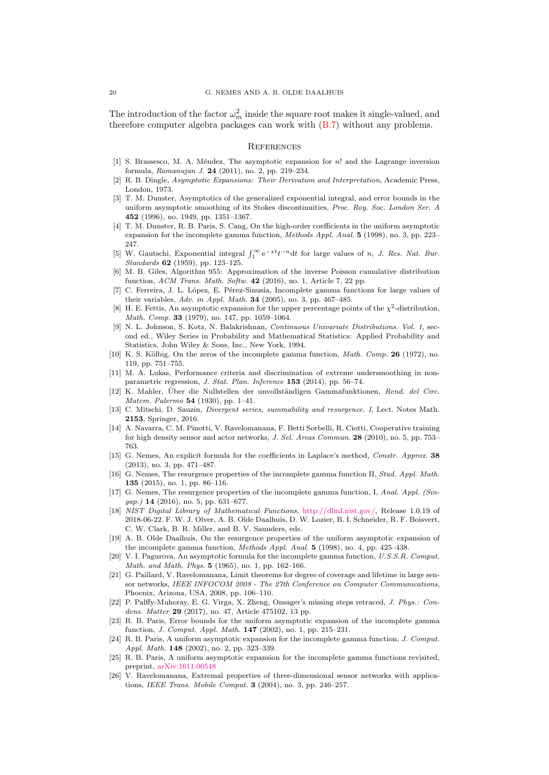<span id="page-20-0"></span>The introduction of the factor  $\omega_m^2$  inside the square root makes it single-valued, and therefore computer algebra packages can work with [\(B.7\)](#page-19-0) without any problems.

#### **REFERENCES**

- [1] S. Brassesco, M. A. Méndez, The asymptotic expansion for  $n!$  and the Lagrange inversion formula, Ramanujan J. 24 (2011), no. 2, pp. 219–234.
- [2] R. B. Dingle, Asymptotic Expansions: Their Derivation and Interpretation, Academic Press, London, 1973.
- [3] T. M. Dunster, Asymptotics of the generalized exponential integral, and error bounds in the uniform asymptotic smoothing of its Stokes discontinuities, Proc. Roy. Soc. London Ser. A 452 (1996), no. 1949, pp. 1351–1367.
- [4] T. M. Dunster, R. B. Paris, S. Cang, On the high-order coefficients in the uniform asymptotic expansion for the incomplete gamma function, Methods Appl. Anal. 5 (1998), no. 3, pp. 223– 247.
- [5] W. Gautschi, Exponential integral  $\int_1^\infty e^{-xt}t^{-n}dt$  for large values of n, J. Res. Nat. Bur. Standards 62 (1959), pp. 123-125.
- [6] M. B. Giles, Algorithm 955: Approximation of the inverse Poisson cumulative distribution function, ACM Trans. Math. Softw. 42 (2016), no. 1, Article 7, 22 pp.
- [7] C. Ferreira, J. L. López, E. Pérez-Sinusía, Incomplete gamma functions for large values of their variables, Adv. in Appl. Math. **34** (2005), no. 3, pp. 467–485.
- [8] H. E. Fettis, An asymptotic expansion for the upper percentage points of the  $\chi^2$ -distribution, Math. Comp. 33 (1979), no. 147, pp. 1059–1064.
- [9] N. L. Johnson, S. Kotz, N. Balakrishnan, Continuous Univariate Distributions. Vol. 1, second ed., Wiley Series in Probability and Mathematical Statistics: Applied Probability and Statistics, John Wiley & Sons, Inc., New York, 1994.
- [10] K. S. Kölbig, On the zeros of the incomplete gamma function, *Math. Comp.* 26 (1972), no. 119, pp. 751–755.
- [11] M. A. Lukas, Performance criteria and discrimination of extreme undersmoothing in nonparametric regression, J. Stat. Plan. Inference 153 (2014), pp. 56–74.
- [12] K. Mahler, Über die Nullstellen der unvollständigen Gammafunktionen, Rend. del Circ. Matem. Palermo 54 (1930), pp. 1–41.
- [13] C. Mitschi, D. Sauzin, Divergent series, summability and resurgence. I, Lect. Notes Math. 2153, Springer, 2016.
- [14] A. Navarra, C. M. Pinotti, V. Ravelomanana, F. Betti Sorbelli, R. Ciotti, Cooperative training for high density sensor and actor networks, J. Sel. Areas Commun. 28 (2010), no. 5, pp. 753– 763.
- [15] G. Nemes, An explicit formula for the coefficients in Laplace's method, Constr. Approx. 38 (2013), no. 3, pp. 471–487.
- [16] G. Nemes, The resurgence properties of the incomplete gamma function II, Stud. Appl. Math. 135 (2015), no. 1, pp. 86–116.
- [17] G. Nemes, The resurgence properties of the incomplete gamma function, I, Anal. Appl. (Sin $gap.$ ) 14 (2016), no. 5, pp. 631–677.
- [18] NIST Digital Library of Mathematical Functions. [http://dlmf.nist.gov/,](http://dlmf.nist.gov/) Release 1.0.19 of 2018-06-22. F. W. J. Olver, A. B. Olde Daalhuis, D. W. Lozier, B. I. Schneider, R. F. Boisvert, C. W. Clark, B. R. Miller, and B. V. Saunders, eds.
- [19] A. B. Olde Daalhuis, On the resurgence properties of the uniform asymptotic expansion of the incomplete gamma function, Methods Appl. Anal. 5 (1998), no. 4, pp. 425–438.
- [20] V. I. Pagurova, An asymptotic formula for the incomplete gamma function, U.S.S.R. Comput. Math. and Math. Phys. 5 (1965), no. 1, pp. 162–166.
- [21] G. Paillard, V. Ravelomanana, Limit theorems for degree of coverage and lifetime in large sensor networks, IEEE INFOCOM 2008 - The 27th Conference on Computer Communications, Phoenix, Arizona, USA, 2008, pp. 106–110.
- [22] P. Palffy-Muhoray, E. G. Virga, X. Zheng, Onsager's missing steps retraced, J. Phys.: Condens. Matter 29 (2017), no. 47, Article 475102, 13 pp.
- [23] R. B. Paris, Error bounds for the uniform asymptotic expansion of the incomplete gamma function, J. Comput. Appl. Math. 147 (2002), no. 1, pp. 215–231.
- [24] R. B. Paris, A uniform asymptotic expansion for the incomplete gamma function, J. Comput. Appl. Math. 148 (2002), no. 2, pp. 323–339.
- [25] R. B. Paris, A uniform asymptotic expansion for the incomplete gamma functions revisited, preprint, [arXiv:1611.00548](https://arxiv.org/abs/1611.00548)
- [26] V. Ravelomanana, Extremal properties of three-dimensional sensor networks with applications, IEEE Trans. Mobile Comput. 3 (2004), no. 3, pp. 246–257.